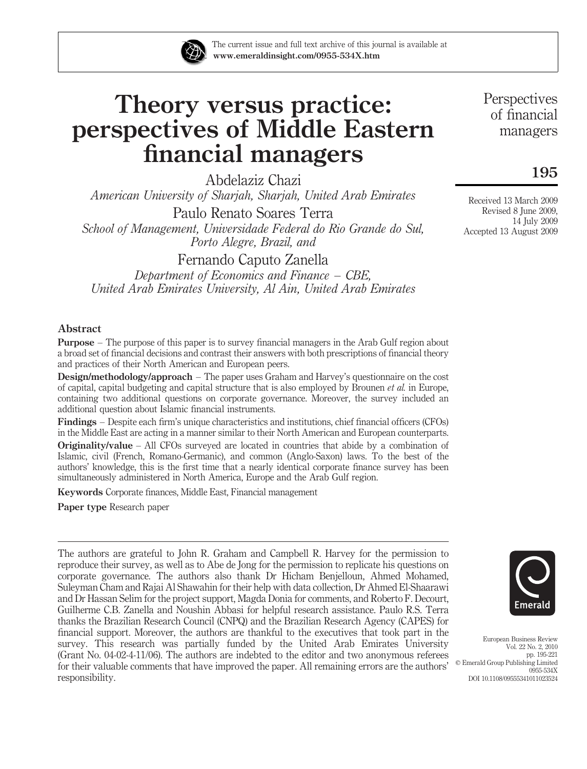

The current issue and full text archive of this journal is available at www.emeraldinsight.com/0955-534X.htm

# Theory versus practice: perspectives of Middle Eastern financial managers

Abdelaziz Chazi American University of Sharjah, Sharjah, United Arab Emirates Paulo Renato Soares Terra School of Management, Universidade Federal do Rio Grande do Sul,

Porto Alegre, Brazil, and

Fernando Caputo Zanella

Department of Economics and Finance – CBE, United Arab Emirates University, Al Ain, United Arab Emirates

#### Abstract

Purpose – The purpose of this paper is to survey financial managers in the Arab Gulf region about a broad set of financial decisions and contrast their answers with both prescriptions of financial theory and practices of their North American and European peers.

Design/methodology/approach – The paper uses Graham and Harvey's questionnaire on the cost of capital, capital budgeting and capital structure that is also employed by Brounen et al. in Europe, containing two additional questions on corporate governance. Moreover, the survey included an additional question about Islamic financial instruments.

Findings – Despite each firm's unique characteristics and institutions, chief financial officers (CFOs) in the Middle East are acting in a manner similar to their North American and European counterparts.

**Originality/value** – All CFOs surveyed are located in countries that abide by a combination of Islamic, civil (French, Romano-Germanic), and common (Anglo-Saxon) laws. To the best of the authors' knowledge, this is the first time that a nearly identical corporate finance survey has been simultaneously administered in North America, Europe and the Arab Gulf region.

Keywords Corporate finances, Middle East, Financial management

Paper type Research paper

The authors are grateful to John R. Graham and Campbell R. Harvey for the permission to reproduce their survey, as well as to Abe de Jong for the permission to replicate his questions on corporate governance. The authors also thank Dr Hicham Benjelloun, Ahmed Mohamed, Suleyman Cham and Rajai Al Shawahin for their help with data collection, Dr Ahmed El-Shaarawi and Dr Hassan Selim for the project support, Magda Donia for comments, and Roberto F. Decourt, Guilherme C.B. Zanella and Noushin Abbasi for helpful research assistance. Paulo R.S. Terra thanks the Brazilian Research Council (CNPQ) and the Brazilian Research Agency (CAPES) for financial support. Moreover, the authors are thankful to the executives that took part in the survey. This research was partially funded by the United Arab Emirates University (Grant No. 04-02-4-11/06). The authors are indebted to the editor and two anonymous referees for their valuable comments that have improved the paper. All remaining errors are the authors' responsibility.

**Perspectives** of financial managers

## 195

Received 13 March 2009 Revised 8 June 2009, 14 July 2009 Accepted 13 August 2009



European Business Review Vol. 22 No. 2, 2010 pp. 195-221 q Emerald Group Publishing Limited 0955-534X DOI 10.1108/09555341011023524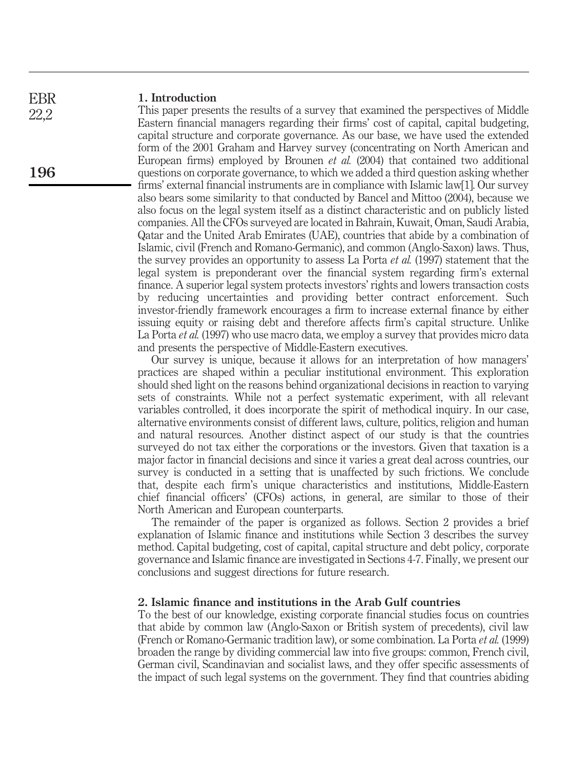### 1. Introduction

This paper presents the results of a survey that examined the perspectives of Middle Eastern financial managers regarding their firms' cost of capital, capital budgeting, capital structure and corporate governance. As our base, we have used the extended form of the 2001 Graham and Harvey survey (concentrating on North American and European firms) employed by Brounen et al. (2004) that contained two additional questions on corporate governance, to which we added a third question asking whether firms' external financial instruments are in compliance with Islamic law[1]. Our survey also bears some similarity to that conducted by Bancel and Mittoo (2004), because we also focus on the legal system itself as a distinct characteristic and on publicly listed companies. All the CFOs surveyed are located in Bahrain, Kuwait, Oman, Saudi Arabia, Qatar and the United Arab Emirates (UAE), countries that abide by a combination of Islamic, civil (French and Romano-Germanic), and common (Anglo-Saxon) laws. Thus, the survey provides an opportunity to assess La Porta *et al.* (1997) statement that the legal system is preponderant over the financial system regarding firm's external finance. A superior legal system protects investors' rights and lowers transaction costs by reducing uncertainties and providing better contract enforcement. Such investor-friendly framework encourages a firm to increase external finance by either issuing equity or raising debt and therefore affects firm's capital structure. Unlike La Porta *et al.* (1997) who use macro data, we employ a survey that provides micro data and presents the perspective of Middle-Eastern executives.

Our survey is unique, because it allows for an interpretation of how managers' practices are shaped within a peculiar institutional environment. This exploration should shed light on the reasons behind organizational decisions in reaction to varying sets of constraints. While not a perfect systematic experiment, with all relevant variables controlled, it does incorporate the spirit of methodical inquiry. In our case, alternative environments consist of different laws, culture, politics, religion and human and natural resources. Another distinct aspect of our study is that the countries surveyed do not tax either the corporations or the investors. Given that taxation is a major factor in financial decisions and since it varies a great deal across countries, our survey is conducted in a setting that is unaffected by such frictions. We conclude that, despite each firm's unique characteristics and institutions, Middle-Eastern chief financial officers' (CFOs) actions, in general, are similar to those of their North American and European counterparts.

The remainder of the paper is organized as follows. Section 2 provides a brief explanation of Islamic finance and institutions while Section 3 describes the survey method. Capital budgeting, cost of capital, capital structure and debt policy, corporate governance and Islamic finance are investigated in Sections 4-7. Finally, we present our conclusions and suggest directions for future research.

#### 2. Islamic finance and institutions in the Arab Gulf countries

To the best of our knowledge, existing corporate financial studies focus on countries that abide by common law (Anglo-Saxon or British system of precedents), civil law (French or Romano-Germanic tradition law), or some combination. La Porta et al. (1999) broaden the range by dividing commercial law into five groups: common, French civil, German civil, Scandinavian and socialist laws, and they offer specific assessments of the impact of such legal systems on the government. They find that countries abiding

EBR 22,2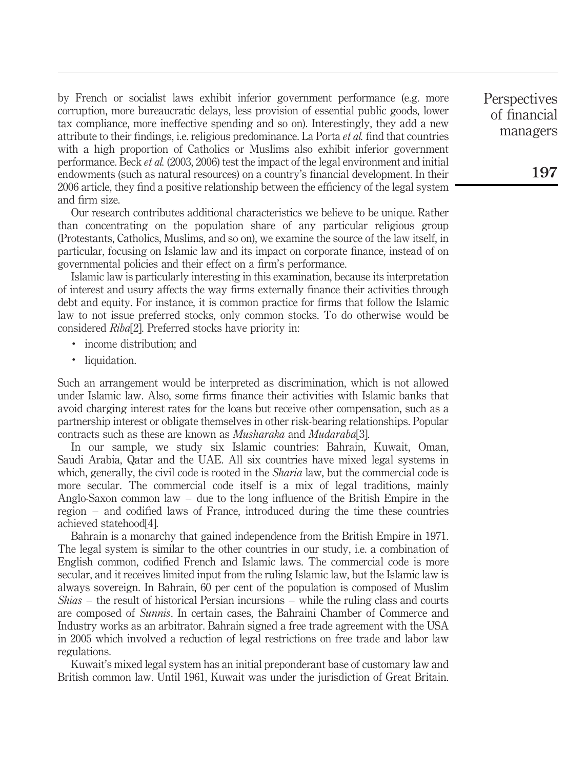by French or socialist laws exhibit inferior government performance (e.g. more corruption, more bureaucratic delays, less provision of essential public goods, lower tax compliance, more ineffective spending and so on). Interestingly, they add a new attribute to their findings, i.e. religious predominance. La Porta et al. find that countries with a high proportion of Catholics or Muslims also exhibit inferior government performance. Beck et al. (2003, 2006) test the impact of the legal environment and initial endowments (such as natural resources) on a country's financial development. In their 2006 article, they find a positive relationship between the efficiency of the legal system and firm size.

Our research contributes additional characteristics we believe to be unique. Rather than concentrating on the population share of any particular religious group (Protestants, Catholics, Muslims, and so on), we examine the source of the law itself, in particular, focusing on Islamic law and its impact on corporate finance, instead of on governmental policies and their effect on a firm's performance.

Islamic law is particularly interesting in this examination, because its interpretation of interest and usury affects the way firms externally finance their activities through debt and equity. For instance, it is common practice for firms that follow the Islamic law to not issue preferred stocks, only common stocks. To do otherwise would be considered Riba[2]. Preferred stocks have priority in:

- . income distribution; and
- . liquidation.

Such an arrangement would be interpreted as discrimination, which is not allowed under Islamic law. Also, some firms finance their activities with Islamic banks that avoid charging interest rates for the loans but receive other compensation, such as a partnership interest or obligate themselves in other risk-bearing relationships. Popular contracts such as these are known as Musharaka and Mudaraba[3].

In our sample, we study six Islamic countries: Bahrain, Kuwait, Oman, Saudi Arabia, Qatar and the UAE. All six countries have mixed legal systems in which, generally, the civil code is rooted in the *Sharia* law, but the commercial code is more secular. The commercial code itself is a mix of legal traditions, mainly Anglo-Saxon common law – due to the long influence of the British Empire in the region – and codified laws of France, introduced during the time these countries achieved statehood[4].

Bahrain is a monarchy that gained independence from the British Empire in 1971. The legal system is similar to the other countries in our study, i.e. a combination of English common, codified French and Islamic laws. The commercial code is more secular, and it receives limited input from the ruling Islamic law, but the Islamic law is always sovereign. In Bahrain, 60 per cent of the population is composed of Muslim  $Shias$  – the result of historical Persian incursions – while the ruling class and courts are composed of Sunnis. In certain cases, the Bahraini Chamber of Commerce and Industry works as an arbitrator. Bahrain signed a free trade agreement with the USA in 2005 which involved a reduction of legal restrictions on free trade and labor law regulations.

Kuwait's mixed legal system has an initial preponderant base of customary law and British common law. Until 1961, Kuwait was under the jurisdiction of Great Britain.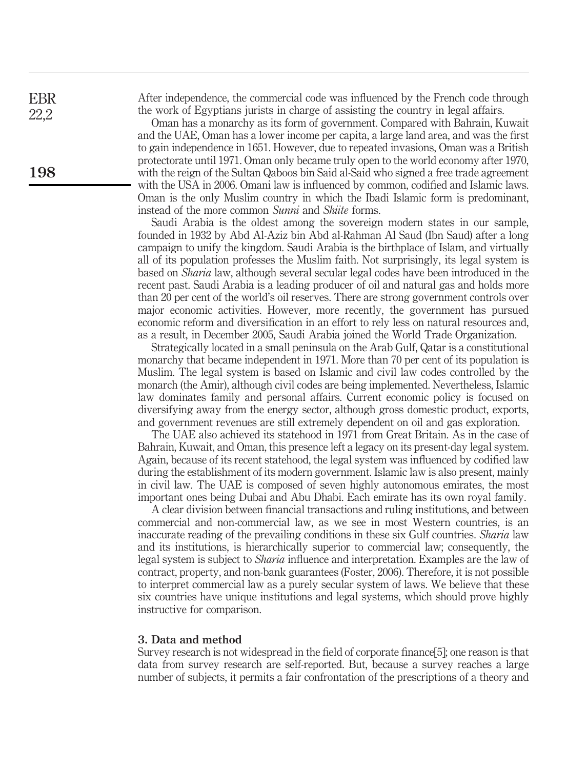After independence, the commercial code was influenced by the French code through the work of Egyptians jurists in charge of assisting the country in legal affairs.

Oman has a monarchy as its form of government. Compared with Bahrain, Kuwait and the UAE, Oman has a lower income per capita, a large land area, and was the first to gain independence in 1651. However, due to repeated invasions, Oman was a British protectorate until 1971. Oman only became truly open to the world economy after 1970, with the reign of the Sultan Qaboos bin Said al-Said who signed a free trade agreement with the USA in 2006. Omani law is influenced by common, codified and Islamic laws. Oman is the only Muslim country in which the Ibadi Islamic form is predominant, instead of the more common Sunni and Shiite forms.

Saudi Arabia is the oldest among the sovereign modern states in our sample, founded in 1932 by Abd Al-Aziz bin Abd al-Rahman Al Saud (Ibn Saud) after a long campaign to unify the kingdom. Saudi Arabia is the birthplace of Islam, and virtually all of its population professes the Muslim faith. Not surprisingly, its legal system is based on Sharia law, although several secular legal codes have been introduced in the recent past. Saudi Arabia is a leading producer of oil and natural gas and holds more than 20 per cent of the world's oil reserves. There are strong government controls over major economic activities. However, more recently, the government has pursued economic reform and diversification in an effort to rely less on natural resources and, as a result, in December 2005, Saudi Arabia joined the World Trade Organization.

Strategically located in a small peninsula on the Arab Gulf, Qatar is a constitutional monarchy that became independent in 1971. More than 70 per cent of its population is Muslim. The legal system is based on Islamic and civil law codes controlled by the monarch (the Amir), although civil codes are being implemented. Nevertheless, Islamic law dominates family and personal affairs. Current economic policy is focused on diversifying away from the energy sector, although gross domestic product, exports, and government revenues are still extremely dependent on oil and gas exploration.

The UAE also achieved its statehood in 1971 from Great Britain. As in the case of Bahrain, Kuwait, and Oman, this presence left a legacy on its present-day legal system. Again, because of its recent statehood, the legal system was influenced by codified law during the establishment of its modern government. Islamic law is also present, mainly in civil law. The UAE is composed of seven highly autonomous emirates, the most important ones being Dubai and Abu Dhabi. Each emirate has its own royal family.

A clear division between financial transactions and ruling institutions, and between commercial and non-commercial law, as we see in most Western countries, is an inaccurate reading of the prevailing conditions in these six Gulf countries. Sharia law and its institutions, is hierarchically superior to commercial law; consequently, the legal system is subject to Sharia influence and interpretation. Examples are the law of contract, property, and non-bank guarantees (Foster, 2006). Therefore, it is not possible to interpret commercial law as a purely secular system of laws. We believe that these six countries have unique institutions and legal systems, which should prove highly instructive for comparison.

#### 3. Data and method

Survey research is not widespread in the field of corporate finance[5]; one reason is that data from survey research are self-reported. But, because a survey reaches a large number of subjects, it permits a fair confrontation of the prescriptions of a theory and

EBR 22,2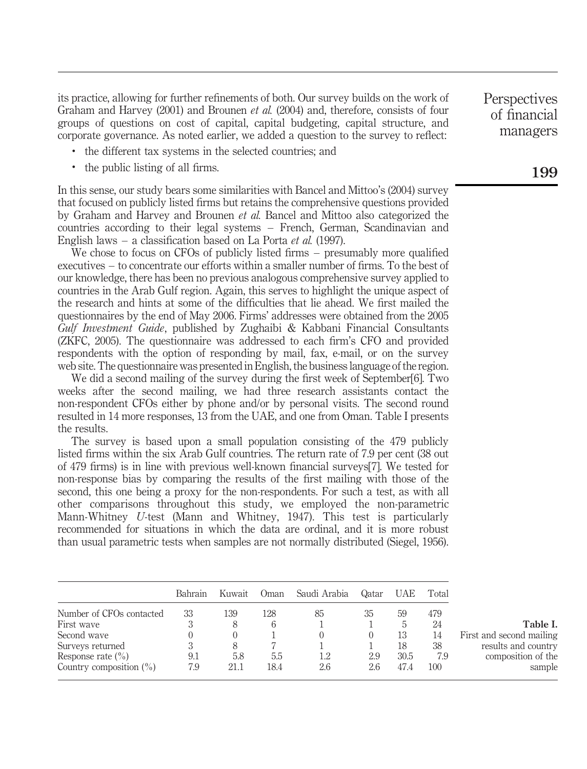its practice, allowing for further refinements of both. Our survey builds on the work of Graham and Harvey (2001) and Brounen *et al.* (2004) and, therefore, consists of four groups of questions on cost of capital, capital budgeting, capital structure, and corporate governance. As noted earlier, we added a question to the survey to reflect:

- . the different tax systems in the selected countries; and
- . the public listing of all firms.

In this sense, our study bears some similarities with Bancel and Mittoo's (2004) survey that focused on publicly listed firms but retains the comprehensive questions provided by Graham and Harvey and Brounen et al. Bancel and Mittoo also categorized the countries according to their legal systems – French, German, Scandinavian and English laws – a classification based on La Porta et al. (1997).

We chose to focus on CFOs of publicly listed firms – presumably more qualified executives – to concentrate our efforts within a smaller number of firms. To the best of our knowledge, there has been no previous analogous comprehensive survey applied to countries in the Arab Gulf region. Again, this serves to highlight the unique aspect of the research and hints at some of the difficulties that lie ahead. We first mailed the questionnaires by the end of May 2006. Firms' addresses were obtained from the 2005 Gulf Investment Guide, published by Zughaibi & Kabbani Financial Consultants (ZKFC, 2005). The questionnaire was addressed to each firm's CFO and provided respondents with the option of responding by mail, fax, e-mail, or on the survey web site. The questionnaire was presented in English, the business language of the region.

We did a second mailing of the survey during the first week of September<sup>[6]</sup>. Two weeks after the second mailing, we had three research assistants contact the non-respondent CFOs either by phone and/or by personal visits. The second round resulted in 14 more responses, 13 from the UAE, and one from Oman. Table I presents the results.

The survey is based upon a small population consisting of the 479 publicly listed firms within the six Arab Gulf countries. The return rate of 7.9 per cent (38 out of 479 firms) is in line with previous well-known financial surveys[7]. We tested for non-response bias by comparing the results of the first mailing with those of the second, this one being a proxy for the non-respondents. For such a test, as with all other comparisons throughout this study, we employed the non-parametric Mann-Whitney U-test (Mann and Whitney, 1947). This test is particularly recommended for situations in which the data are ordinal, and it is more robust than usual parametric tests when samples are not normally distributed (Siegel, 1956).

|                             | Bahrain | Kuwait | Oman | Saudi Arabia | Qatar | UAE  | Total |                          |
|-----------------------------|---------|--------|------|--------------|-------|------|-------|--------------------------|
| Number of CFOs contacted    | 33      | 139    | 128  | 85           | 35    | 59   | 479   |                          |
| First wave                  |         | 8      | 6    |              |       | h.   | 24    | Table I.                 |
| Second wave                 |         |        |      |              |       | 13   | 14    | First and second mailing |
| Surveys returned            |         |        |      |              |       | 18   | 38    | results and country      |
| Response rate $(\% )$       | 9.1     | 5.8    | 5.5  | 1.2          | 2.9   | 30.5 | 7.9   | composition of the       |
| Country composition $(\% )$ | 7.9     | 21.1   | 18.4 | 2.6          | 2.6   | 47.4 | 100   | sample                   |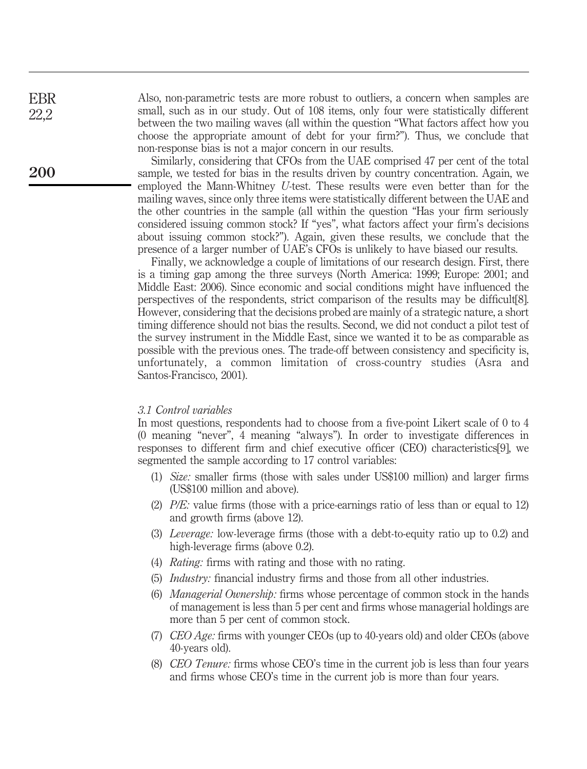Also, non-parametric tests are more robust to outliers, a concern when samples are small, such as in our study. Out of 108 items, only four were statistically different between the two mailing waves (all within the question "What factors affect how you choose the appropriate amount of debt for your firm?"). Thus, we conclude that non-response bias is not a major concern in our results.

Similarly, considering that CFOs from the UAE comprised 47 per cent of the total sample, we tested for bias in the results driven by country concentration. Again, we employed the Mann-Whitney U-test. These results were even better than for the mailing waves, since only three items were statistically different between the UAE and the other countries in the sample (all within the question "Has your firm seriously considered issuing common stock? If "yes", what factors affect your firm's decisions about issuing common stock?"). Again, given these results, we conclude that the presence of a larger number of UAE's CFOs is unlikely to have biased our results.

Finally, we acknowledge a couple of limitations of our research design. First, there is a timing gap among the three surveys (North America: 1999; Europe: 2001; and Middle East: 2006). Since economic and social conditions might have influenced the perspectives of the respondents, strict comparison of the results may be difficult[8]. However, considering that the decisions probed are mainly of a strategic nature, a short timing difference should not bias the results. Second, we did not conduct a pilot test of the survey instrument in the Middle East, since we wanted it to be as comparable as possible with the previous ones. The trade-off between consistency and specificity is, unfortunately, a common limitation of cross-country studies (Asra and Santos-Francisco, 2001).

#### 3.1 Control variables

In most questions, respondents had to choose from a five-point Likert scale of 0 to 4 (0 meaning "never", 4 meaning "always"). In order to investigate differences in responses to different firm and chief executive officer (CEO) characteristics[9], we segmented the sample according to 17 control variables:

- (1) Size: smaller firms (those with sales under US\$100 million) and larger firms (US\$100 million and above).
- (2) P/E: value firms (those with a price-earnings ratio of less than or equal to 12) and growth firms (above 12).
- (3) Leverage: low-leverage firms (those with a debt-to-equity ratio up to 0.2) and high-leverage firms (above 0.2).
- (4) Rating: firms with rating and those with no rating.
- (5) Industry: financial industry firms and those from all other industries.
- (6) Managerial Ownership: firms whose percentage of common stock in the hands of management is less than 5 per cent and firms whose managerial holdings are more than 5 per cent of common stock.
- (7) CEO Age: firms with younger CEOs (up to 40-years old) and older CEOs (above 40-years old).
- (8) CEO Tenure: firms whose CEO's time in the current job is less than four years and firms whose CEO's time in the current job is more than four years.

EBR 22,2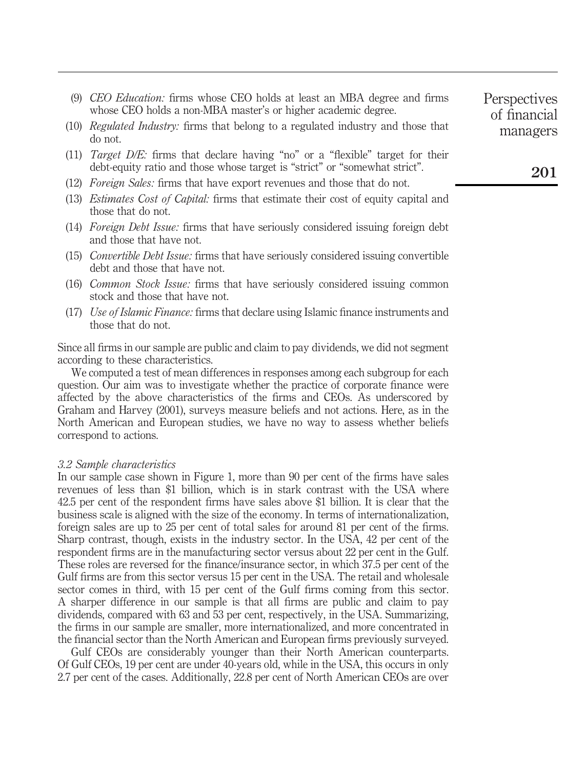| (9) CEO Education: firms whose CEO holds at least an MBA degree and firms |
|---------------------------------------------------------------------------|
| whose CEO holds a non-MBA master's or higher academic degree.             |

- (10) Regulated Industry: firms that belong to a regulated industry and those that do not.
- (11) Target D/E: firms that declare having "no" or a "flexible" target for their debt-equity ratio and those whose target is "strict" or "somewhat strict".
- (12) Foreign Sales: firms that have export revenues and those that do not.
- (13) Estimates Cost of Capital: firms that estimate their cost of equity capital and those that do not.
- (14) Foreign Debt Issue: firms that have seriously considered issuing foreign debt and those that have not.
- (15) Convertible Debt Issue: firms that have seriously considered issuing convertible debt and those that have not.
- (16) Common Stock Issue: firms that have seriously considered issuing common stock and those that have not.
- (17) Use of Islamic Finance: firms that declare using Islamic finance instruments and those that do not.

Since all firms in our sample are public and claim to pay dividends, we did not segment according to these characteristics.

We computed a test of mean differences in responses among each subgroup for each question. Our aim was to investigate whether the practice of corporate finance were affected by the above characteristics of the firms and CEOs. As underscored by Graham and Harvey (2001), surveys measure beliefs and not actions. Here, as in the North American and European studies, we have no way to assess whether beliefs correspond to actions.

#### 3.2 Sample characteristics

In our sample case shown in Figure 1, more than 90 per cent of the firms have sales revenues of less than \$1 billion, which is in stark contrast with the USA where 42.5 per cent of the respondent firms have sales above \$1 billion. It is clear that the business scale is aligned with the size of the economy. In terms of internationalization, foreign sales are up to 25 per cent of total sales for around 81 per cent of the firms. Sharp contrast, though, exists in the industry sector. In the USA, 42 per cent of the respondent firms are in the manufacturing sector versus about 22 per cent in the Gulf. These roles are reversed for the finance/insurance sector, in which 37.5 per cent of the Gulf firms are from this sector versus 15 per cent in the USA. The retail and wholesale sector comes in third, with 15 per cent of the Gulf firms coming from this sector. A sharper difference in our sample is that all firms are public and claim to pay dividends, compared with 63 and 53 per cent, respectively, in the USA. Summarizing, the firms in our sample are smaller, more internationalized, and more concentrated in the financial sector than the North American and European firms previously surveyed.

Gulf CEOs are considerably younger than their North American counterparts. Of Gulf CEOs, 19 per cent are under 40-years old, while in the USA, this occurs in only 2.7 per cent of the cases. Additionally, 22.8 per cent of North American CEOs are over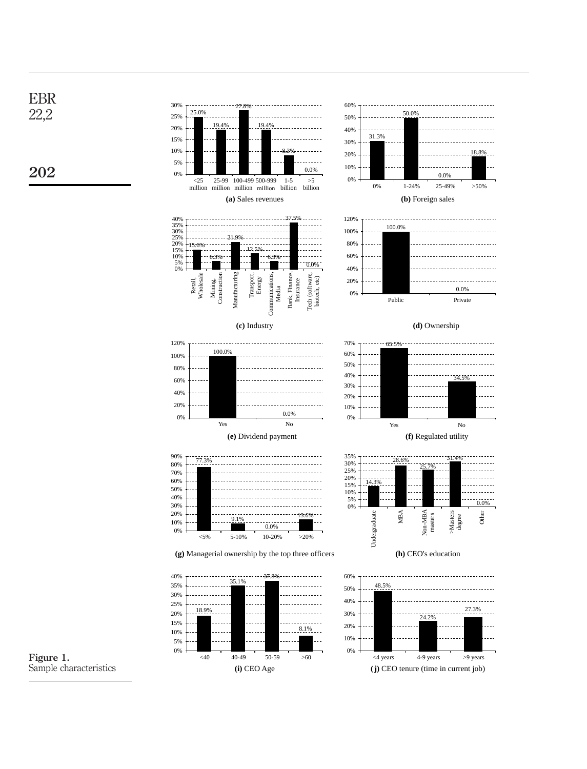

## 202





**(c)** Industry





**(g)** Managerial ownership by the top three officers





60%



**(d)** Ownership

**(f)** Regulated utility 65.5% 34.5% 0% 10% 20% 30% 40% 50% 60% 70% Yes No



**(h)** CEO's education



Figure 1. Sample characteristics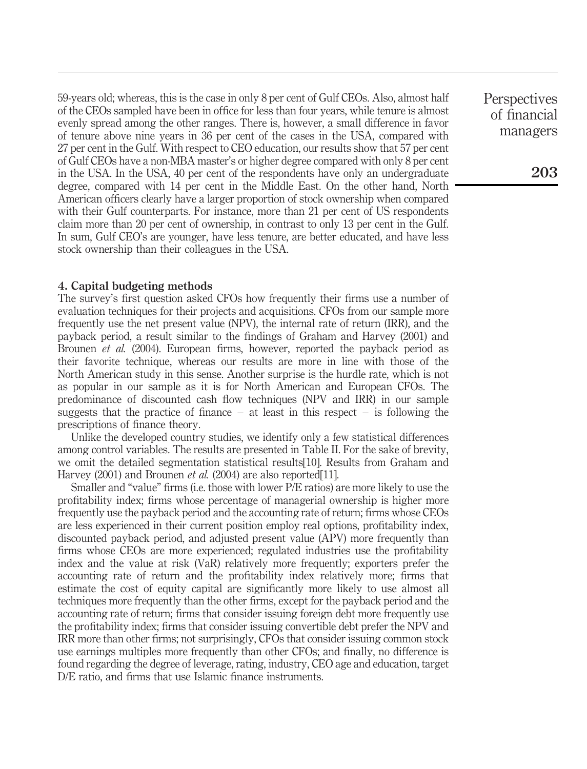59-years old; whereas, this is the case in only 8 per cent of Gulf CEOs. Also, almost half of the CEOs sampled have been in office for less than four years, while tenure is almost evenly spread among the other ranges. There is, however, a small difference in favor of tenure above nine years in 36 per cent of the cases in the USA, compared with 27 per cent in the Gulf. With respect to CEO education, our results show that 57 per cent of Gulf CEOs have a non-MBA master's or higher degree compared with only 8 per cent in the USA. In the USA, 40 per cent of the respondents have only an undergraduate degree, compared with 14 per cent in the Middle East. On the other hand, North American officers clearly have a larger proportion of stock ownership when compared with their Gulf counterparts. For instance, more than 21 per cent of US respondents claim more than 20 per cent of ownership, in contrast to only 13 per cent in the Gulf. In sum, Gulf CEO's are younger, have less tenure, are better educated, and have less stock ownership than their colleagues in the USA.

#### 4. Capital budgeting methods

The survey's first question asked CFOs how frequently their firms use a number of evaluation techniques for their projects and acquisitions. CFOs from our sample more frequently use the net present value (NPV), the internal rate of return (IRR), and the payback period, a result similar to the findings of Graham and Harvey (2001) and Brounen et al. (2004). European firms, however, reported the payback period as their favorite technique, whereas our results are more in line with those of the North American study in this sense. Another surprise is the hurdle rate, which is not as popular in our sample as it is for North American and European CFOs. The predominance of discounted cash flow techniques (NPV and IRR) in our sample suggests that the practice of finance  $-$  at least in this respect  $-$  is following the prescriptions of finance theory.

Unlike the developed country studies, we identify only a few statistical differences among control variables. The results are presented in Table II. For the sake of brevity, we omit the detailed segmentation statistical results[10]. Results from Graham and Harvey (2001) and Brounen *et al.* (2004) are also reported[11].

Smaller and "value" firms (i.e. those with lower P/E ratios) are more likely to use the profitability index; firms whose percentage of managerial ownership is higher more frequently use the payback period and the accounting rate of return; firms whose CEOs are less experienced in their current position employ real options, profitability index, discounted payback period, and adjusted present value (APV) more frequently than firms whose CEOs are more experienced; regulated industries use the profitability index and the value at risk (VaR) relatively more frequently; exporters prefer the accounting rate of return and the profitability index relatively more; firms that estimate the cost of equity capital are significantly more likely to use almost all techniques more frequently than the other firms, except for the payback period and the accounting rate of return; firms that consider issuing foreign debt more frequently use the profitability index; firms that consider issuing convertible debt prefer the NPV and IRR more than other firms; not surprisingly, CFOs that consider issuing common stock use earnings multiples more frequently than other CFOs; and finally, no difference is found regarding the degree of leverage, rating, industry, CEO age and education, target D/E ratio, and firms that use Islamic finance instruments.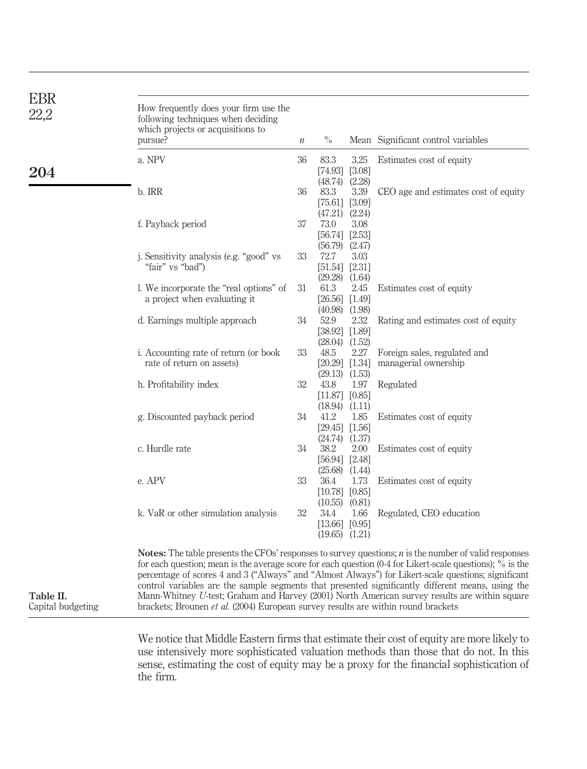| following techniques when deciding<br>which projects or acquisitions to<br>pursue? | $\boldsymbol{n}$ | $\%$                                                        |                            | Mean Significant control variables                   |
|------------------------------------------------------------------------------------|------------------|-------------------------------------------------------------|----------------------------|------------------------------------------------------|
| a. NPV                                                                             | 36               | 83.3<br>$[74.93]$<br>(48.74)                                | 3.25<br>$[3.08]$<br>(2.28) | Estimates cost of equity                             |
| b. IRR                                                                             | 36               | 83.3<br>[75.61] [3.09]<br>$(47.21)$ $(2.24)$                | 3.39                       | CEO age and estimates cost of equity                 |
| f. Payback period                                                                  | 37               | 73.0<br>[56.74] [2.53]                                      | 3.08                       |                                                      |
| <i>i.</i> Sensitivity analysis (e.g. "good" vs<br>"fair" vs "bad")                 | 33               | $(56.79)$ $(2.47)$<br>72.7<br>[51.54] [2.31]                | 3.03                       |                                                      |
| l. We incorporate the "real options" of<br>a project when evaluating it            | 31               | $(29.28)$ $(1.64)$<br>61.3<br>[26.56] [1.49]                | 2.45                       | Estimates cost of equity                             |
| d. Earnings multiple approach                                                      | 34               | (40.98)<br>52.9<br>[38.92]                                  | (1.98)<br>2.32<br>[1.89]   | Rating and estimates cost of equity                  |
| i. Accounting rate of return (or book<br>rate of return on assets)                 | 33               | (28.04)<br>48.5<br>$[20.29]$ $[1.34]$<br>(29.13)            | (1.52)<br>2.27<br>(1.53)   | Foreign sales, regulated and<br>managerial ownership |
| h. Profitability index                                                             | 32               | 43.8<br>$[11.87]$ $[0.85]$<br>(18.94)                       | 1.97<br>(1.11)             | Regulated                                            |
| g. Discounted payback period                                                       | 34               | 41.2<br>$[29.45]$<br>$(24.74)$ $(1.37)$                     | 1.85<br>[1.56]             | Estimates cost of equity                             |
| c. Hurdle rate                                                                     | 34               | 38.2<br>$[56.94]$ $[2.48]$<br>(25.68)                       | 2.00<br>(1.44)             | Estimates cost of equity                             |
| e. APV                                                                             | 33               | 36.4<br>[10.78]                                             | 1.73<br>[0.85]             | Estimates cost of equity                             |
| k. VaR or other simulation analysis                                                | 32               | (10.55)<br>34.4<br>$[13.66]$ $[0.95]$<br>$(19.65)$ $(1.21)$ | (0.81)<br>1.66             | Regulated, CEO education                             |

for each question; mean is the average score for each question (0-4 for Likert-scale questions); % is the percentage of scores 4 and 3 ("Always" and "Almost Always") for Likert-scale questions; significant control variables are the sample segments that presented significantly different means, using the Mann-Whitney U-test; Graham and Harvey (2001) North American survey results are within square brackets; Brounen et al. (2004) European survey results are within round brackets

We notice that Middle Eastern firms that estimate their cost of equity are more likely to use intensively more sophisticated valuation methods than those that do not. In this sense, estimating the cost of equity may be a proxy for the financial sophistication of the firm.

## 204

EBR 22,2

Table II. Capital budgeting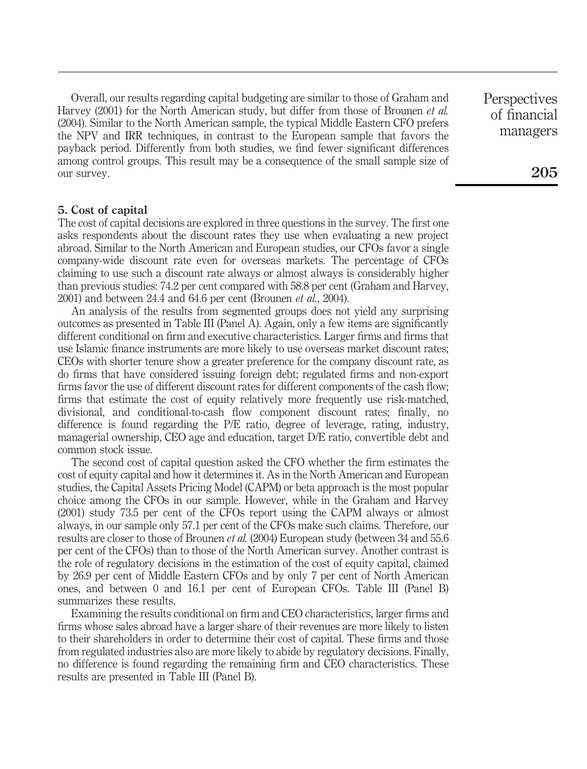Overall, our results regarding capital budgeting are similar to those of Graham and Harvey (2001) for the North American study, but differ from those of Brounen et al. (2004). Similar to the North American sample, the typical Middle Eastern CFO prefers the NPV and IRR techniques, in contrast to the European sample that favors the payback period. Differently from both studies, we find fewer significant differences among control groups. This result may be a consequence of the small sample size of our survey.

#### 5. Cost of capital

The cost of capital decisions are explored in three questions in the survey. The first one asks respondents about the discount rates they use when evaluating a new project abroad. Similar to the North American and European studies, our CFOs favor a single company-wide discount rate even for overseas markets. The percentage of CFOs claiming to use such a discount rate always or almost always is considerably higher than previous studies: 74.2 per cent compared with 58.8 per cent (Graham and Harvey,  $2001$ ) and between 24.4 and 64.6 per cent (Brounen et al., 2004).

An analysis of the results from segmented groups does not yield any surprising outcomes as presented in Table III (Panel A). Again, only a few items are significantly different conditional on firm and executive characteristics. Larger firms and firms that use Islamic finance instruments are more likely to use overseas market discount rates; CEOs with shorter tenure show a greater preference for the company discount rate, as do firms that have considered issuing foreign debt; regulated firms and non-export firms favor the use of different discount rates for different components of the cash flow; firms that estimate the cost of equity relatively more frequently use risk-matched, divisional, and conditional-to-cash flow component discount rates; finally, no difference is found regarding the P/E ratio, degree of leverage, rating, industry, managerial ownership, CEO age and education, target D/E ratio, convertible debt and common stock issue.

The second cost of capital question asked the CFO whether the firm estimates the cost of equity capital and how it determines it. As in the North American and European studies, the Capital Assets Pricing Model (CAPM) or beta approach is the most popular choice among the CFOs in our sample. However, while in the Graham and Harvey (2001) study 73.5 per cent of the CFOs report using the CAPM always or almost always, in our sample only 57.1 per cent of the CFOs make such claims. Therefore, our results are closer to those of Brounen *et al.* (2004) European study (between 34 and 55.6 per cent of the CFOs) than to those of the North American survey. Another contrast is the role of regulatory decisions in the estimation of the cost of equity capital, claimed by 26.9 per cent of Middle Eastern CFOs and by only 7 per cent of North American ones, and between 0 and 16.1 per cent of European CFOs. Table III (Panel B) summarizes these results.

Examining the results conditional on firm and CEO characteristics, larger firms and firms whose sales abroad have a larger share of their revenues are more likely to listen to their shareholders in order to determine their cost of capital. These firms and those from regulated industries also are more likely to abide by regulatory decisions. Finally, no difference is found regarding the remaining firm and CEO characteristics. These results are presented in Table III (Panel B).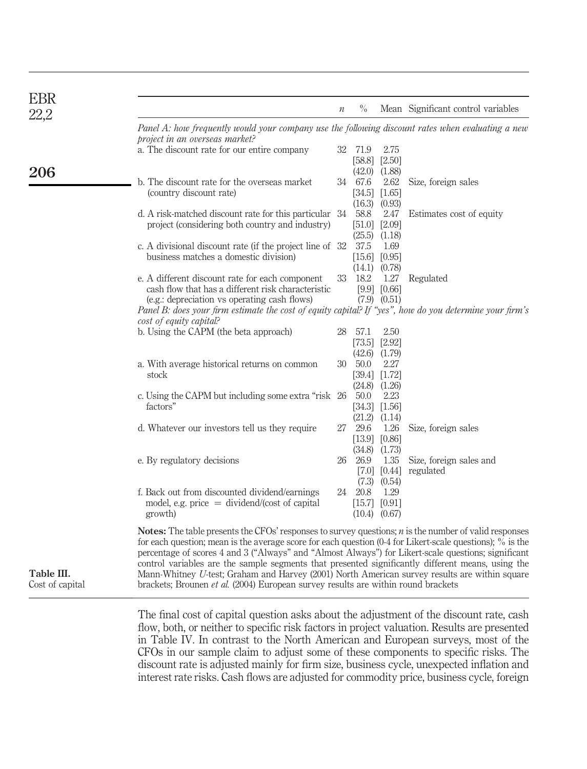| EBR<br>22,2     |                                                                                                                                                                                                                                                                                                                                                                                                                                                                                                                                                    | $\boldsymbol{n}$ | $\frac{0}{0}$ |                                                | Mean Significant control variables   |
|-----------------|----------------------------------------------------------------------------------------------------------------------------------------------------------------------------------------------------------------------------------------------------------------------------------------------------------------------------------------------------------------------------------------------------------------------------------------------------------------------------------------------------------------------------------------------------|------------------|---------------|------------------------------------------------|--------------------------------------|
|                 | Panel A: how frequently would your company use the following discount rates when evaluating a new                                                                                                                                                                                                                                                                                                                                                                                                                                                  |                  |               |                                                |                                      |
|                 | project in an overseas market?<br>a. The discount rate for our entire company                                                                                                                                                                                                                                                                                                                                                                                                                                                                      | 32               | 71.9          | 2.75<br>$[58.8]$ $[2.50]$                      |                                      |
| 206             | b. The discount rate for the overseas market                                                                                                                                                                                                                                                                                                                                                                                                                                                                                                       |                  | 34 67.6       | $(42.0)$ $(1.88)$<br>2.62                      | Size, foreign sales                  |
|                 | (country discount rate)                                                                                                                                                                                                                                                                                                                                                                                                                                                                                                                            |                  |               | $[34.5]$ $[1.65]$<br>$(16.3)$ $(0.93)$         |                                      |
|                 | d. A risk-matched discount rate for this particular 34<br>project (considering both country and industry)                                                                                                                                                                                                                                                                                                                                                                                                                                          |                  | 58.8          | 2.47<br>$[51.0]$ $[2.09]$<br>$(25.5)$ $(1.18)$ | Estimates cost of equity             |
|                 | c. A divisional discount rate (if the project line of 32<br>business matches a domestic division)                                                                                                                                                                                                                                                                                                                                                                                                                                                  |                  | 37.5          | 1.69<br>$[15.6]$ $[0.95]$<br>$(14.1)$ $(0.78)$ |                                      |
|                 | e. A different discount rate for each component<br>cash flow that has a different risk characteristic<br>(e.g.: depreciation vs operating cash flows)                                                                                                                                                                                                                                                                                                                                                                                              | 33               | - 18.2        | 1.27<br>[9.9] [0.66]<br>$(7.9)$ $(0.51)$       | Regulated                            |
|                 | Panel B: does your firm estimate the cost of equity capital? If "yes", how do you determine your firm's<br>cost of equity capital?                                                                                                                                                                                                                                                                                                                                                                                                                 |                  |               |                                                |                                      |
|                 | b. Using the CAPM (the beta approach)                                                                                                                                                                                                                                                                                                                                                                                                                                                                                                              | 28               | - 57.1        | 2.50<br>$[73.5]$ $[2.92]$<br>$(42.6)$ $(1.79)$ |                                      |
|                 | a. With average historical returns on common<br>stock                                                                                                                                                                                                                                                                                                                                                                                                                                                                                              |                  | 30 50.0       | 2.27<br>[39.4] [1.72]<br>$(24.8)$ $(1.26)$     |                                      |
|                 | c. Using the CAPM but including some extra "risk 26<br>factors"                                                                                                                                                                                                                                                                                                                                                                                                                                                                                    |                  | 50.0          | 2.23<br>[34.3] [1.56]<br>$(21.2)$ $(1.14)$     |                                      |
|                 | d. Whatever our investors tell us they require                                                                                                                                                                                                                                                                                                                                                                                                                                                                                                     |                  | 27 29.6       | 1.26<br>[13.9] [0.86]<br>$(34.8)$ $(1.73)$     | Size, foreign sales                  |
|                 | e. By regulatory decisions                                                                                                                                                                                                                                                                                                                                                                                                                                                                                                                         |                  | 26 26.9       | 1.35<br>$[7.0]$ $[0.44]$<br>$(7.3)$ $(0.54)$   | Size, foreign sales and<br>regulated |
|                 | f. Back out from discounted dividend/earnings<br>model, e.g. price $=$ dividend/(cost of capital<br>growth)                                                                                                                                                                                                                                                                                                                                                                                                                                        |                  | 24 20.8       | 1.29<br>$[15.7]$ $[0.91]$<br>$(10.4)$ $(0.67)$ |                                      |
| Table III.      | <b>Notes:</b> The table presents the CFOs' responses to survey questions; <i>n</i> is the number of valid responses<br>for each question; mean is the average score for each question $(0.4$ for Likert-scale questions); $\%$ is the<br>percentage of scores 4 and 3 ("Always" and "Almost Always") for Likert-scale questions; significant<br>control variables are the sample segments that presented significantly different means, using the<br>Mann-Whitney U-test; Graham and Harvey (2001) North American survey results are within square |                  |               |                                                |                                      |
| Cost of capital | brackets; Brounen <i>et al.</i> (2004) European survey results are within round brackets                                                                                                                                                                                                                                                                                                                                                                                                                                                           |                  |               |                                                |                                      |

The final cost of capital question asks about the adjustment of the discount rate, cash flow, both, or neither to specific risk factors in project valuation. Results are presented in Table IV. In contrast to the North American and European surveys, most of the CFOs in our sample claim to adjust some of these components to specific risks. The discount rate is adjusted mainly for firm size, business cycle, unexpected inflation and interest rate risks. Cash flows are adjusted for commodity price, business cycle, foreign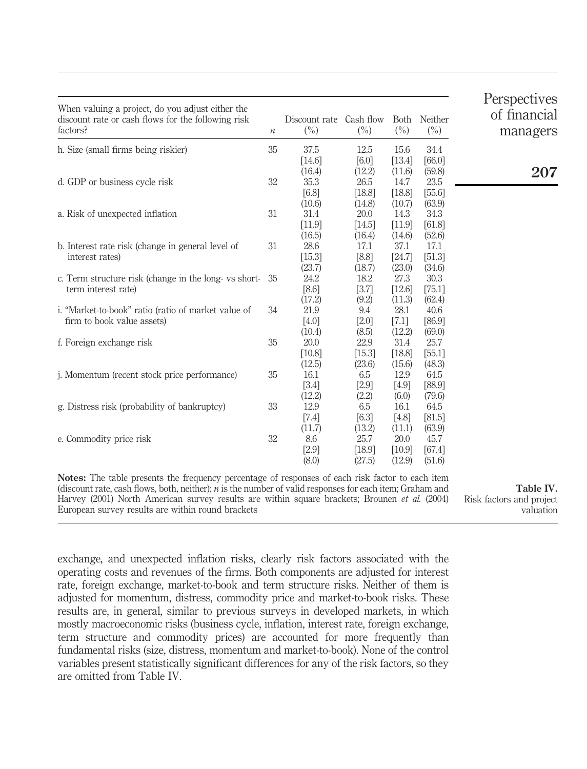| When valuing a project, do you adjust either the<br>discount rate or cash flows for the following risk<br>factors? | $\boldsymbol{n}$ | Discount rate<br>(%) | Cash flow<br>$(\% )$ | Both<br>$\binom{0}{0}$ | Neither<br>$\binom{0}{0}$ | Perspectives<br>of financial<br>managers |
|--------------------------------------------------------------------------------------------------------------------|------------------|----------------------|----------------------|------------------------|---------------------------|------------------------------------------|
| h. Size (small firms being riskier)                                                                                | 35               | 37.5                 | 12.5                 | 15.6                   | 34.4                      |                                          |
|                                                                                                                    |                  | [14.6]               | [6.0]                | [13.4]                 | [66.0]                    |                                          |
|                                                                                                                    |                  | (16.4)               | (12.2)               | (11.6)                 | (59.8)                    | 207                                      |
| d. GDP or business cycle risk                                                                                      | 32               | 35.3                 | 26.5                 | 14.7                   | 23.5                      |                                          |
|                                                                                                                    |                  | $[6.8]$              | [18.8]               | [18.8]                 | $[55.6]$                  |                                          |
|                                                                                                                    |                  | (10.6)               | (14.8)               | (10.7)                 | (63.9)                    |                                          |
| a. Risk of unexpected inflation                                                                                    | 31               | 31.4                 | 20.0                 | 14.3                   | 34.3                      |                                          |
|                                                                                                                    |                  | [11.9]               | [14.5]               | [11.9]                 | [61.8]                    |                                          |
|                                                                                                                    |                  | (16.5)               | (16.4)               | (14.6)                 | (52.6)                    |                                          |
| b. Interest rate risk (change in general level of                                                                  | 31               | 28.6                 | 17.1                 | 37.1                   | 17.1                      |                                          |
| interest rates)                                                                                                    |                  | $[15.3]$             | $[8.8]$              | [24.7]                 | $[51.3]$                  |                                          |
|                                                                                                                    |                  | (23.7)               | (18.7)               | (23.0)                 | (34.6)                    |                                          |
| c. Term structure risk (change in the long-vs short-                                                               | 35               | 24.2                 | 18.2                 | 27.3                   | 30.3                      |                                          |
| term interest rate)                                                                                                |                  | $[8.6]$              | [3.7]                | $[12.6]$               | [75.1]                    |                                          |
|                                                                                                                    |                  | (17.2)               | (9.2)                | (11.3)                 | (62.4)                    |                                          |
| i. "Market-to-book" ratio (ratio of market value of                                                                | 34               | 21.9                 | 9.4                  | 28.1                   | 40.6                      |                                          |
| firm to book value assets)                                                                                         |                  | [4.0]<br>(10.4)      | [2.0]<br>(8.5)       | $[7.1]$<br>(12.2)      | [86.9]<br>(69.0)          |                                          |
| f. Foreign exchange risk                                                                                           | 35               | 20.0                 | 22.9                 | 31.4                   | 25.7                      |                                          |
|                                                                                                                    |                  | [10.8]               | [15.3]               | [18.8]                 | [55.1]                    |                                          |
|                                                                                                                    |                  | (12.5)               | (23.6)               | (15.6)                 | (48.3)                    |                                          |
| <i>i.</i> Momentum (recent stock price performance)                                                                | 35               | 16.1                 | 6.5                  | 12.9                   | 64.5                      |                                          |
|                                                                                                                    |                  | $[3.4]$              | [2.9]                | [4.9]                  | [88.9]                    |                                          |
|                                                                                                                    |                  | (12.2)               | (2.2)                | (6.0)                  | (79.6)                    |                                          |
| g. Distress risk (probability of bankruptcy)                                                                       | 33               | 12.9                 | 6.5                  | 16.1                   | 64.5                      |                                          |
|                                                                                                                    |                  | [7.4]                | $[6.3]$              | [4.8]                  | $[81.5]$                  |                                          |
|                                                                                                                    |                  | (11.7)               | (13.2)               | (11.1)                 | (63.9)                    |                                          |
| e. Commodity price risk                                                                                            | 32               | 8.6                  | 25.7                 | 20.0                   | 45.7                      |                                          |
|                                                                                                                    |                  | [2.9]                | [18.9]               | [10.9]                 | [67.4]                    |                                          |
|                                                                                                                    |                  | (8.0)                | (27.5)               | (12.9)                 | (51.6)                    |                                          |
|                                                                                                                    |                  |                      |                      |                        |                           |                                          |

Notes: The table presents the frequency percentage of responses of each risk factor to each item (discount rate, cash flows, both, neither);  $n$  is the number of valid responses for each item; Graham and Harvey (2001) North American survey results are within square brackets; Brounen et al. (2004) European survey results are within round brackets

Table IV. Risk factors and project valuation

exchange, and unexpected inflation risks, clearly risk factors associated with the operating costs and revenues of the firms. Both components are adjusted for interest rate, foreign exchange, market-to-book and term structure risks. Neither of them is adjusted for momentum, distress, commodity price and market-to-book risks. These results are, in general, similar to previous surveys in developed markets, in which mostly macroeconomic risks (business cycle, inflation, interest rate, foreign exchange, term structure and commodity prices) are accounted for more frequently than fundamental risks (size, distress, momentum and market-to-book). None of the control variables present statistically significant differences for any of the risk factors, so they are omitted from Table IV.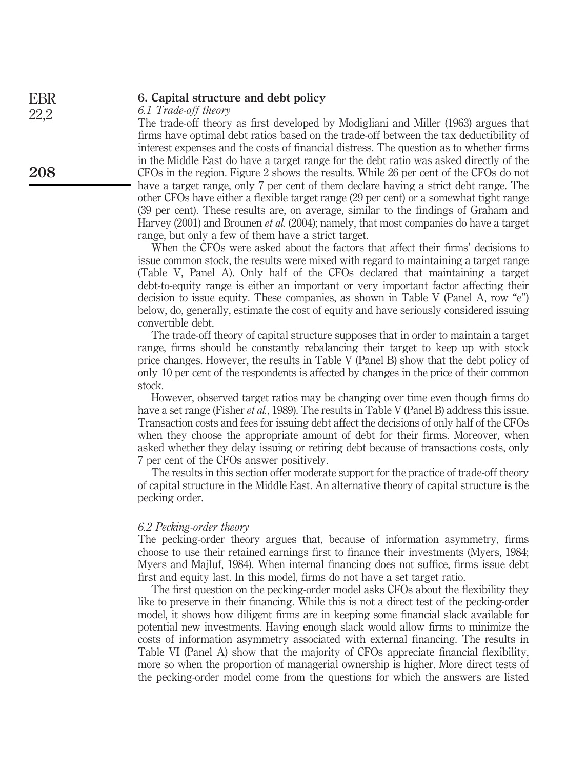#### 6. Capital structure and debt policy

6.1 Trade-off theory

The trade-off theory as first developed by Modigliani and Miller (1963) argues that firms have optimal debt ratios based on the trade-off between the tax deductibility of interest expenses and the costs of financial distress. The question as to whether firms in the Middle East do have a target range for the debt ratio was asked directly of the CFOs in the region. Figure 2 shows the results. While 26 per cent of the CFOs do not have a target range, only 7 per cent of them declare having a strict debt range. The other CFOs have either a flexible target range (29 per cent) or a somewhat tight range (39 per cent). These results are, on average, similar to the findings of Graham and Harvey (2001) and Brounen *et al.* (2004); namely, that most companies do have a target range, but only a few of them have a strict target.

When the CFOs were asked about the factors that affect their firms' decisions to issue common stock, the results were mixed with regard to maintaining a target range (Table V, Panel A). Only half of the CFOs declared that maintaining a target debt-to-equity range is either an important or very important factor affecting their decision to issue equity. These companies, as shown in Table V (Panel A, row "e") below, do, generally, estimate the cost of equity and have seriously considered issuing convertible debt.

The trade-off theory of capital structure supposes that in order to maintain a target range, firms should be constantly rebalancing their target to keep up with stock price changes. However, the results in Table V (Panel B) show that the debt policy of only 10 per cent of the respondents is affected by changes in the price of their common stock.

However, observed target ratios may be changing over time even though firms do have a set range (Fisher *et al.*, 1989). The results in Table V (Panel B) address this issue. Transaction costs and fees for issuing debt affect the decisions of only half of the CFOs when they choose the appropriate amount of debt for their firms. Moreover, when asked whether they delay issuing or retiring debt because of transactions costs, only 7 per cent of the CFOs answer positively.

The results in this section offer moderate support for the practice of trade-off theory of capital structure in the Middle East. An alternative theory of capital structure is the pecking order.

#### 6.2 Pecking-order theory

The pecking-order theory argues that, because of information asymmetry, firms choose to use their retained earnings first to finance their investments (Myers, 1984; Myers and Majluf, 1984). When internal financing does not suffice, firms issue debt first and equity last. In this model, firms do not have a set target ratio.

The first question on the pecking-order model asks CFOs about the flexibility they like to preserve in their financing. While this is not a direct test of the pecking-order model, it shows how diligent firms are in keeping some financial slack available for potential new investments. Having enough slack would allow firms to minimize the costs of information asymmetry associated with external financing. The results in Table VI (Panel A) show that the majority of CFOs appreciate financial flexibility, more so when the proportion of managerial ownership is higher. More direct tests of the pecking-order model come from the questions for which the answers are listed

EBR 22,2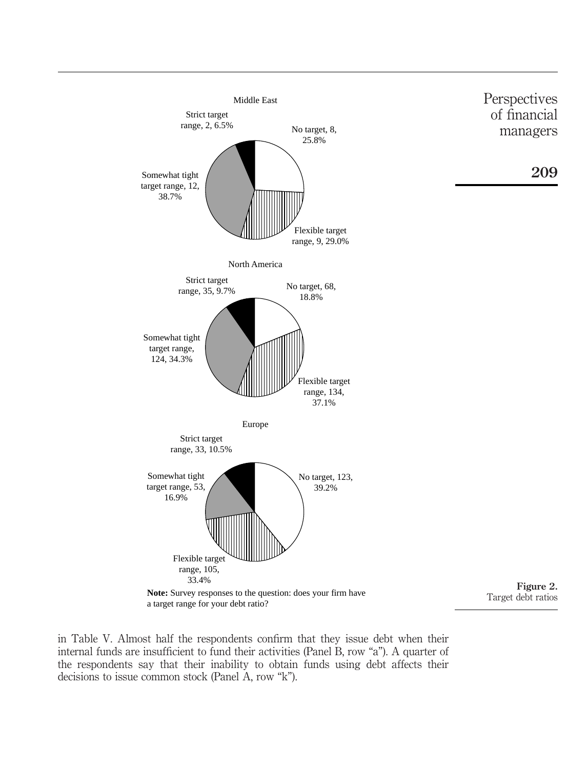

in Table V. Almost half the respondents confirm that they issue debt when their internal funds are insufficient to fund their activities (Panel B, row "a"). A quarter of the respondents say that their inability to obtain funds using debt affects their decisions to issue common stock (Panel A, row "k").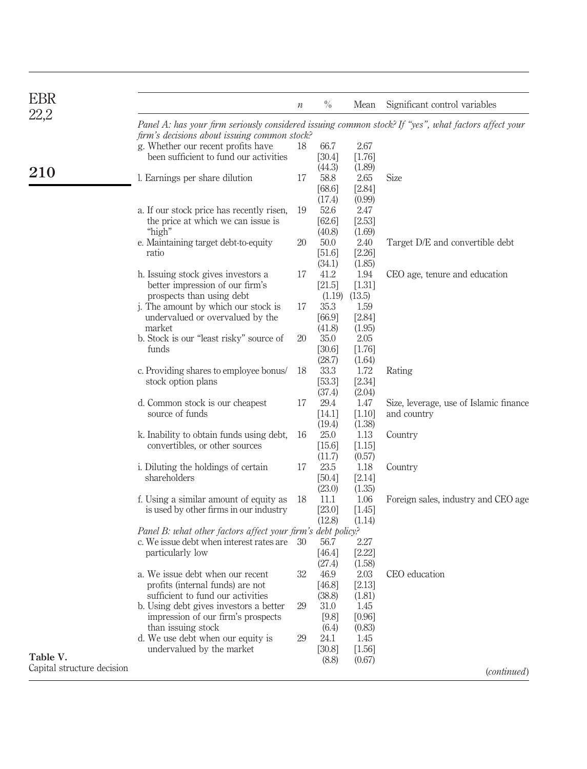| EBR                        |                                                                                                      | $\boldsymbol{n}$ | $\%$             | Mean               | Significant control variables          |  |  |  |  |  |  |  |
|----------------------------|------------------------------------------------------------------------------------------------------|------------------|------------------|--------------------|----------------------------------------|--|--|--|--|--|--|--|
| 22,2                       | Panel A: has your firm seriously considered issuing common stock? If "yes", what factors affect your |                  |                  |                    |                                        |  |  |  |  |  |  |  |
|                            | firm's decisions about issuing common stock?                                                         |                  |                  |                    |                                        |  |  |  |  |  |  |  |
|                            | g. Whether our recent profits have                                                                   | 18               | 66.7             | 2.67               |                                        |  |  |  |  |  |  |  |
|                            | been sufficient to fund our activities                                                               |                  | $[30.4]$         | [1.76]             |                                        |  |  |  |  |  |  |  |
| $210\,$                    |                                                                                                      |                  | (44.3)           | (1.89)             |                                        |  |  |  |  |  |  |  |
|                            | l. Earnings per share dilution                                                                       | 17               | 58.8             | 2.65               | Size                                   |  |  |  |  |  |  |  |
|                            |                                                                                                      |                  | [68.6]           | $[2.84]$           |                                        |  |  |  |  |  |  |  |
|                            |                                                                                                      |                  | (17.4)           | (0.99)             |                                        |  |  |  |  |  |  |  |
|                            | a. If our stock price has recently risen,                                                            | 19               | 52.6             | 2.47               |                                        |  |  |  |  |  |  |  |
|                            | the price at which we can issue is                                                                   |                  | [62.6]           | $[2.53]$           |                                        |  |  |  |  |  |  |  |
|                            | "high"                                                                                               |                  | (40.8)           | (1.69)             |                                        |  |  |  |  |  |  |  |
|                            | e. Maintaining target debt-to-equity                                                                 | 20               | 50.0             | 2.40               | Target D/E and convertible debt        |  |  |  |  |  |  |  |
|                            | ratio                                                                                                |                  | [51.6]           | $[2.26]$           |                                        |  |  |  |  |  |  |  |
|                            |                                                                                                      |                  | (34.1)           | (1.85)             |                                        |  |  |  |  |  |  |  |
|                            | h. Issuing stock gives investors a                                                                   | 17               | 41.2             | 1.94               | CEO age, tenure and education          |  |  |  |  |  |  |  |
|                            | better impression of our firm's                                                                      |                  | $[21.5]$         | $[1.31]$           |                                        |  |  |  |  |  |  |  |
|                            | prospects than using debt                                                                            | 17               | (1.19)           | (13.5)             |                                        |  |  |  |  |  |  |  |
|                            | j. The amount by which our stock is                                                                  |                  | 35.3             | 1.59               |                                        |  |  |  |  |  |  |  |
|                            | undervalued or overvalued by the<br>market                                                           |                  | [66.9]<br>(41.8) | $[2.84]$<br>(1.95) |                                        |  |  |  |  |  |  |  |
|                            | b. Stock is our "least risky" source of                                                              | 20               | 35.0             | 2.05               |                                        |  |  |  |  |  |  |  |
|                            | funds                                                                                                |                  | $[30.6]$         | [1.76]             |                                        |  |  |  |  |  |  |  |
|                            |                                                                                                      |                  | (28.7)           | (1.64)             |                                        |  |  |  |  |  |  |  |
|                            | c. Providing shares to employee bonus/                                                               | 18               | 33.3             | 1.72               | Rating                                 |  |  |  |  |  |  |  |
|                            | stock option plans                                                                                   |                  | [53.3]           | $[2.34]$           |                                        |  |  |  |  |  |  |  |
|                            |                                                                                                      |                  | (37.4)           | (2.04)             |                                        |  |  |  |  |  |  |  |
|                            | d. Common stock is our cheapest                                                                      | 17               | 29.4             | 1.47               | Size, leverage, use of Islamic finance |  |  |  |  |  |  |  |
|                            | source of funds                                                                                      |                  | [14.1]           | $[1.10]$           | and country                            |  |  |  |  |  |  |  |
|                            |                                                                                                      |                  | (19.4)           | (1.38)             |                                        |  |  |  |  |  |  |  |
|                            | k. Inability to obtain funds using debt,                                                             | 16               | 25.0             | 1.13               | Country                                |  |  |  |  |  |  |  |
|                            | convertibles, or other sources                                                                       |                  | [15.6]           | [1.15]             |                                        |  |  |  |  |  |  |  |
|                            |                                                                                                      |                  | (11.7)           | (0.57)             |                                        |  |  |  |  |  |  |  |
|                            | <i>i.</i> Diluting the holdings of certain                                                           | 17               | 23.5             | 1.18               | Country                                |  |  |  |  |  |  |  |
|                            | shareholders                                                                                         |                  | [50.4]           | $[2.14]$           |                                        |  |  |  |  |  |  |  |
|                            |                                                                                                      |                  | (23.0)           | (1.35)             |                                        |  |  |  |  |  |  |  |
|                            | f. Using a similar amount of equity as                                                               | 18               | 11.1             | 1.06               | Foreign sales, industry and CEO age    |  |  |  |  |  |  |  |
|                            | is used by other firms in our industry                                                               |                  | $[23.0]$         | [1.45]             |                                        |  |  |  |  |  |  |  |
|                            |                                                                                                      |                  | (12.8)           | (1.14)             |                                        |  |  |  |  |  |  |  |
|                            | Panel B: what other factors affect your firm's debt policy?                                          |                  |                  |                    |                                        |  |  |  |  |  |  |  |
|                            | c. We issue debt when interest rates are                                                             | 30               | 56.7             | 2.27               |                                        |  |  |  |  |  |  |  |
|                            | particularly low                                                                                     |                  | [46.4]           | $[2.22]$           |                                        |  |  |  |  |  |  |  |
|                            |                                                                                                      |                  | (27.4)           | (1.58)             |                                        |  |  |  |  |  |  |  |
|                            | a. We issue debt when our recent                                                                     | 32               | 46.9             | 2.03               | CEO education                          |  |  |  |  |  |  |  |
|                            | profits (internal funds) are not                                                                     |                  | [46.8]           | [2.13]             |                                        |  |  |  |  |  |  |  |
|                            | sufficient to fund our activities                                                                    |                  | (38.8)           | (1.81)             |                                        |  |  |  |  |  |  |  |
|                            | b. Using debt gives investors a better                                                               | 29               | 31.0             | 1.45               |                                        |  |  |  |  |  |  |  |
|                            | impression of our firm's prospects                                                                   |                  | [9.8]            | $[0.96]$           |                                        |  |  |  |  |  |  |  |
|                            | than issuing stock                                                                                   |                  | (6.4)            | (0.83)             |                                        |  |  |  |  |  |  |  |
|                            | d. We use debt when our equity is                                                                    | 29               | 24.1             | 1.45               |                                        |  |  |  |  |  |  |  |
| Table V.                   | undervalued by the market                                                                            |                  | $[30.8]$         | $[1.56]$           |                                        |  |  |  |  |  |  |  |
| Capital structure decision |                                                                                                      |                  | (8.8)            | (0.67)             |                                        |  |  |  |  |  |  |  |
|                            |                                                                                                      |                  |                  |                    | (continued)                            |  |  |  |  |  |  |  |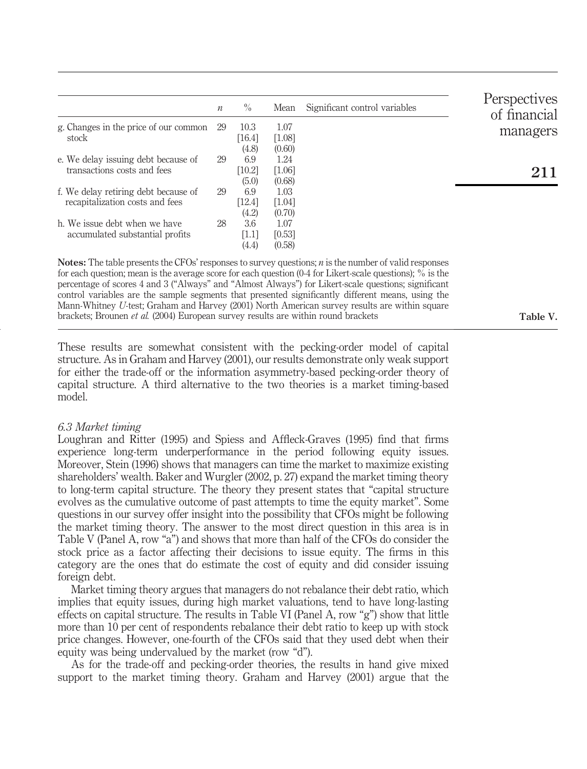|                                       | $\boldsymbol{n}$ | $\%$                           | Mean                 | Significant control variables | Perspectives<br>of financial |
|---------------------------------------|------------------|--------------------------------|----------------------|-------------------------------|------------------------------|
| g. Changes in the price of our common | -29              | 10.3                           | 1.07                 |                               |                              |
| stock                                 |                  | [16.4]                         | [1.08]               |                               | managers                     |
|                                       |                  | (4.8)                          | (0.60)               |                               |                              |
| e. We delay issuing debt because of   | 29               | 6.9                            | 1.24                 |                               |                              |
| transactions costs and fees           |                  | $\left\lceil 10.2\right\rceil$ | [1.06]               |                               |                              |
|                                       |                  | (5.0)                          | (0.68)               |                               |                              |
| f. We delay retiring debt because of  | 29               | 6.9                            | 1.03                 |                               |                              |
| recapitalization costs and fees       |                  | $[12.4]$                       | $\lceil 1.04 \rceil$ |                               |                              |
|                                       |                  | (4.2)                          | (0.70)               |                               |                              |
| h. We issue debt when we have         | 28               | 3.6                            | 1.07                 |                               |                              |
| accumulated substantial profits       |                  | [1.1]                          | [0.53]               |                               |                              |
|                                       |                  | (4.4)                          | (0.58)               |                               |                              |
|                                       |                  |                                |                      |                               |                              |

Notes: The table presents the CFOs' responses to survey questions; n is the number of valid responses for each question; mean is the average score for each question (0-4 for Likert-scale questions); % is the percentage of scores 4 and 3 ("Always" and "Almost Always") for Likert-scale questions; significant control variables are the sample segments that presented significantly different means, using the Mann-Whitney U-test; Graham and Harvey (2001) North American survey results are within square brackets; Brounen *et al.* (2004) European survey results are within round brackets Table V.

These results are somewhat consistent with the pecking-order model of capital structure. As in Graham and Harvey (2001), our results demonstrate only weak support for either the trade-off or the information asymmetry-based pecking-order theory of capital structure. A third alternative to the two theories is a market timing-based model.

#### 6.3 Market timing

Loughran and Ritter (1995) and Spiess and Affleck-Graves (1995) find that firms experience long-term underperformance in the period following equity issues. Moreover, Stein (1996) shows that managers can time the market to maximize existing shareholders' wealth. Baker and Wurgler (2002, p. 27) expand the market timing theory to long-term capital structure. The theory they present states that "capital structure evolves as the cumulative outcome of past attempts to time the equity market". Some questions in our survey offer insight into the possibility that CFOs might be following the market timing theory. The answer to the most direct question in this area is in Table V (Panel A, row "a") and shows that more than half of the CFOs do consider the stock price as a factor affecting their decisions to issue equity. The firms in this category are the ones that do estimate the cost of equity and did consider issuing foreign debt.

Market timing theory argues that managers do not rebalance their debt ratio, which implies that equity issues, during high market valuations, tend to have long-lasting effects on capital structure. The results in Table VI (Panel A, row "g") show that little more than 10 per cent of respondents rebalance their debt ratio to keep up with stock price changes. However, one-fourth of the CFOs said that they used debt when their equity was being undervalued by the market (row "d").

As for the trade-off and pecking-order theories, the results in hand give mixed support to the market timing theory. Graham and Harvey (2001) argue that the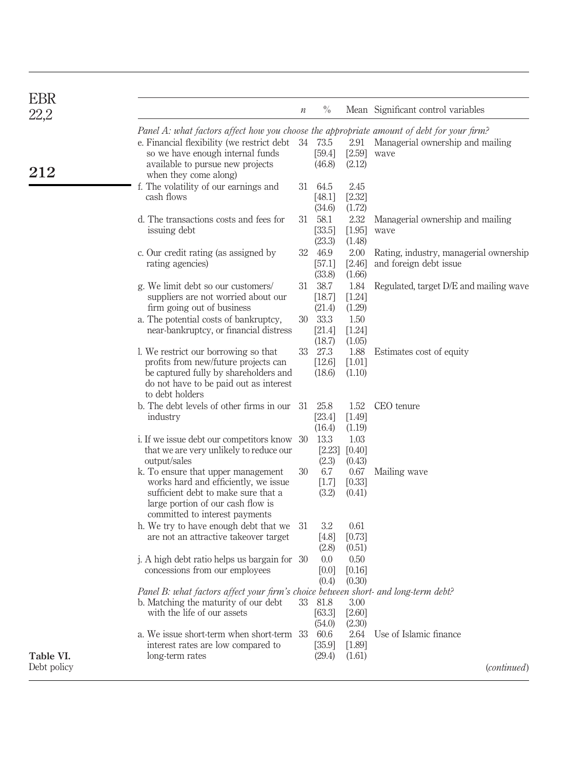| EBR         | $\boldsymbol{n}$                                                                                                                                                                                                                                                                                            | $\%$                                                                                                           | Mean Significant control variables                               |
|-------------|-------------------------------------------------------------------------------------------------------------------------------------------------------------------------------------------------------------------------------------------------------------------------------------------------------------|----------------------------------------------------------------------------------------------------------------|------------------------------------------------------------------|
| 22,2        |                                                                                                                                                                                                                                                                                                             |                                                                                                                |                                                                  |
| 212         | Panel A: what factors affect how you choose the appropriate amount of debt for your firm?<br>e. Financial flexibility (we restrict debt<br>34 73.5<br>so we have enough internal funds<br>available to pursue new projects                                                                                  | 2.91<br>[59.4]<br>$[2.59]$<br>(46.8)<br>(2.12)                                                                 | Managerial ownership and mailing<br>wave                         |
|             | when they come along)<br>f. The volatility of our earnings and<br>cash flows                                                                                                                                                                                                                                | 31 64.5<br>2.45<br>$[2.32]$<br>[48.1]<br>(1.72)<br>(34.6)                                                      |                                                                  |
|             | d. The transactions costs and fees for<br>issuing debt                                                                                                                                                                                                                                                      | 31 58.1<br>2.32<br>[33.5]<br>$[1.95]$<br>(23.3)<br>(1.48)                                                      | Managerial ownership and mailing<br>wave                         |
|             | c. Our credit rating (as assigned by<br>rating agencies)                                                                                                                                                                                                                                                    | 32 46.9<br>2.00<br>[57.1]<br>[2.46]<br>(33.8)<br>(1.66)                                                        | Rating, industry, managerial ownership<br>and foreign debt issue |
|             | 31<br>g. We limit debt so our customers/<br>suppliers are not worried about our<br>firm going out of business                                                                                                                                                                                               | 38.7<br>1.84<br>[18.7]<br>[1.24]<br>(21.4)<br>(1.29)                                                           | Regulated, target D/E and mailing wave                           |
|             | a. The potential costs of bankruptcy,<br>30<br>near-bankruptcy, or financial distress                                                                                                                                                                                                                       | 33.3<br>1.50<br>$[21.4]$<br>$[1.24]$<br>(18.7)<br>(1.05)                                                       |                                                                  |
|             | 33<br>l. We restrict our borrowing so that<br>profits from new/future projects can<br>be captured fully by shareholders and<br>do not have to be paid out as interest<br>to debt holders                                                                                                                    | 27.3<br>1.88<br>$[12.6]$<br>$[1.01]$<br>(1.10)<br>(18.6)                                                       | Estimates cost of equity                                         |
|             | b. The debt levels of other firms in our<br>31<br>industry                                                                                                                                                                                                                                                  | 25.8<br>1.52<br>$[23.4]$<br>[1.49]<br>(1.19)<br>(16.4)                                                         | CEO tenure                                                       |
|             | i. If we issue debt our competitors know<br>30<br>that we are very unlikely to reduce our<br>output/sales<br>k. To ensure that upper management<br>30<br>works hard and efficiently, we issue<br>sufficient debt to make sure that a<br>large portion of our cash flow is<br>committed to interest payments | 13.3<br>1.03<br>$[2.23]$<br>[0.40]<br>(2.3)<br>(0.43)<br>6.7<br>0.67<br>$[0.33]$<br>$[1.7]$<br>(3.2)<br>(0.41) | Mailing wave                                                     |
|             | h. We try to have enough debt that we<br>31<br>are not an attractive takeover target                                                                                                                                                                                                                        | 3.2<br>0.61<br>[4.8]<br>[0.73]<br>(2.8)<br>(0.51)                                                              |                                                                  |
|             | j. A high debt ratio helps us bargain for 30<br>concessions from our employees                                                                                                                                                                                                                              | 0.50<br>0.0<br>[0.0]<br>$[0.16]$<br>(0.30)<br>(0.4)                                                            |                                                                  |
|             | Panel B: what factors affect your firm's choice between short- and long-term debt?<br>b. Matching the maturity of our debt<br>33<br>with the life of our assets                                                                                                                                             | 81.8<br>3.00<br>$[63.3]$<br>$[2.60]$<br>(54.0)<br>(2.30)                                                       |                                                                  |
| Table VI.   | a. We issue short-term when short-term 33<br>interest rates are low compared to<br>long-term rates                                                                                                                                                                                                          | 60.6<br>2.64<br>$[35.9]$<br>$[1.89]$<br>(29.4)<br>(1.61)                                                       | Use of Islamic finance                                           |
| Debt policy |                                                                                                                                                                                                                                                                                                             |                                                                                                                | ( <i>continued</i> )                                             |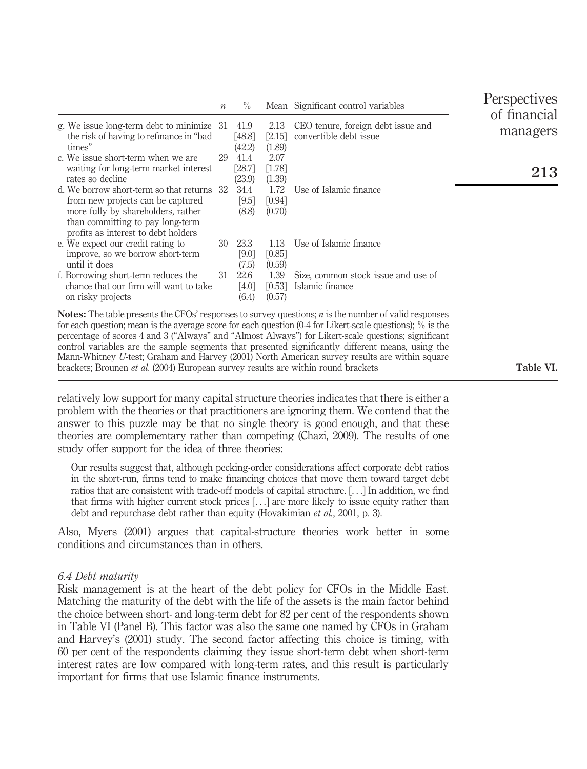|                                                                                                                                                                                               | $\boldsymbol{n}$ | $\%$                     |                          | Mean Significant control variables                           | Perspectives<br>of financial |
|-----------------------------------------------------------------------------------------------------------------------------------------------------------------------------------------------|------------------|--------------------------|--------------------------|--------------------------------------------------------------|------------------------------|
| g. We issue long-term debt to minimize 31<br>the risk of having to refinance in "bad"<br>times"                                                                                               |                  | 41.9<br>[48.8]<br>(42.2) | 2.13<br>[2.15]<br>(1.89) | CEO tenure, foreign debt issue and<br>convertible debt issue | managers                     |
| c. We issue short-term when we are<br>waiting for long-term market interest<br>rates so decline                                                                                               | 29               | 41.4<br>[28.7]<br>(23.9) | 2.07<br>[1.78]<br>(1.39) |                                                              | 213                          |
| d. We borrow short-term so that returns<br>from new projects can be captured<br>more fully by shareholders, rather<br>than committing to pay long-term<br>profits as interest to debt holders | 32               | 34.4<br>[9.5]<br>(8.8)   | 1.72<br>[0.94]<br>(0.70) | Use of Islamic finance                                       |                              |
| e. We expect our credit rating to<br>improve, so we borrow short-term<br>until it does                                                                                                        | 30               | 23.3<br>[9.0]<br>(7.5)   | 1.13<br>[0.85]<br>(0.59) | Use of Islamic finance                                       |                              |
| f. Borrowing short-term reduces the<br>chance that our firm will want to take<br>on risky projects                                                                                            | 31               | 22.6<br>[4.0]<br>(6.4)   | 1.39<br>[0.53]<br>(0.57) | Size, common stock issue and use of<br>Islamic finance       |                              |

Notes: The table presents the CFOs' responses to survey questions; n is the number of valid responses for each question; mean is the average score for each question (0-4 for Likert-scale questions); % is the percentage of scores 4 and 3 ("Always" and "Almost Always") for Likert-scale questions; significant control variables are the sample segments that presented significantly different means, using the Mann-Whitney U-test; Graham and Harvey (2001) North American survey results are within square brackets; Brounen et al. (2004) European survey results are within round brackets Table VI.

relatively low support for many capital structure theories indicates that there is either a problem with the theories or that practitioners are ignoring them. We contend that the answer to this puzzle may be that no single theory is good enough, and that these theories are complementary rather than competing (Chazi, 2009). The results of one study offer support for the idea of three theories:

Our results suggest that, although pecking-order considerations affect corporate debt ratios in the short-run, firms tend to make financing choices that move them toward target debt ratios that are consistent with trade-off models of capital structure. [...] In addition, we find that firms with higher current stock prices  $[\ldots]$  are more likely to issue equity rather than debt and repurchase debt rather than equity (Hovakimian *et al.*, 2001, p. 3).

Also, Myers (2001) argues that capital-structure theories work better in some conditions and circumstances than in others.

#### 6.4 Debt maturity

Risk management is at the heart of the debt policy for CFOs in the Middle East. Matching the maturity of the debt with the life of the assets is the main factor behind the choice between short- and long-term debt for 82 per cent of the respondents shown in Table VI (Panel B). This factor was also the same one named by CFOs in Graham and Harvey's (2001) study. The second factor affecting this choice is timing, with 60 per cent of the respondents claiming they issue short-term debt when short-term interest rates are low compared with long-term rates, and this result is particularly important for firms that use Islamic finance instruments.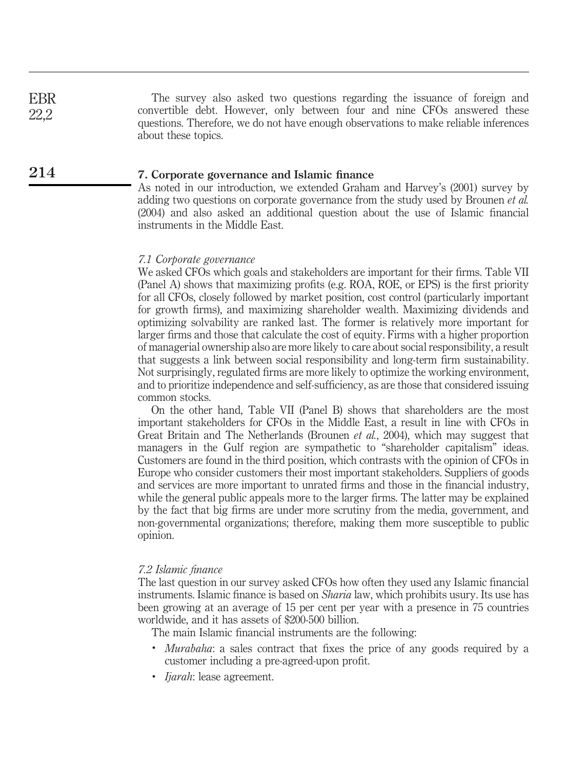The survey also asked two questions regarding the issuance of foreign and convertible debt. However, only between four and nine CFOs answered these questions. Therefore, we do not have enough observations to make reliable inferences about these topics.

#### 7. Corporate governance and Islamic finance 214

EBR 22,2

> As noted in our introduction, we extended Graham and Harvey's (2001) survey by adding two questions on corporate governance from the study used by Brounen et al. (2004) and also asked an additional question about the use of Islamic financial instruments in the Middle East.

#### 7.1 Corporate governance

We asked CFOs which goals and stakeholders are important for their firms. Table VII (Panel A) shows that maximizing profits (e.g. ROA, ROE, or EPS) is the first priority for all CFOs, closely followed by market position, cost control (particularly important for growth firms), and maximizing shareholder wealth. Maximizing dividends and optimizing solvability are ranked last. The former is relatively more important for larger firms and those that calculate the cost of equity. Firms with a higher proportion of managerial ownership also are more likely to care about social responsibility, a result that suggests a link between social responsibility and long-term firm sustainability. Not surprisingly, regulated firms are more likely to optimize the working environment, and to prioritize independence and self-sufficiency, as are those that considered issuing common stocks.

On the other hand, Table VII (Panel B) shows that shareholders are the most important stakeholders for CFOs in the Middle East, a result in line with CFOs in Great Britain and The Netherlands (Brounen et al., 2004), which may suggest that managers in the Gulf region are sympathetic to "shareholder capitalism" ideas. Customers are found in the third position, which contrasts with the opinion of CFOs in Europe who consider customers their most important stakeholders. Suppliers of goods and services are more important to unrated firms and those in the financial industry, while the general public appeals more to the larger firms. The latter may be explained by the fact that big firms are under more scrutiny from the media, government, and non-governmental organizations; therefore, making them more susceptible to public opinion.

#### 7.2 Islamic finance

The last question in our survey asked CFOs how often they used any Islamic financial instruments. Islamic finance is based on *Sharia* law, which prohibits usury. Its use has been growing at an average of 15 per cent per year with a presence in 75 countries worldwide, and it has assets of \$200-500 billion.

The main Islamic financial instruments are the following:

- . Murabaha: a sales contract that fixes the price of any goods required by a customer including a pre-agreed-upon profit.
- . Ijarah: lease agreement.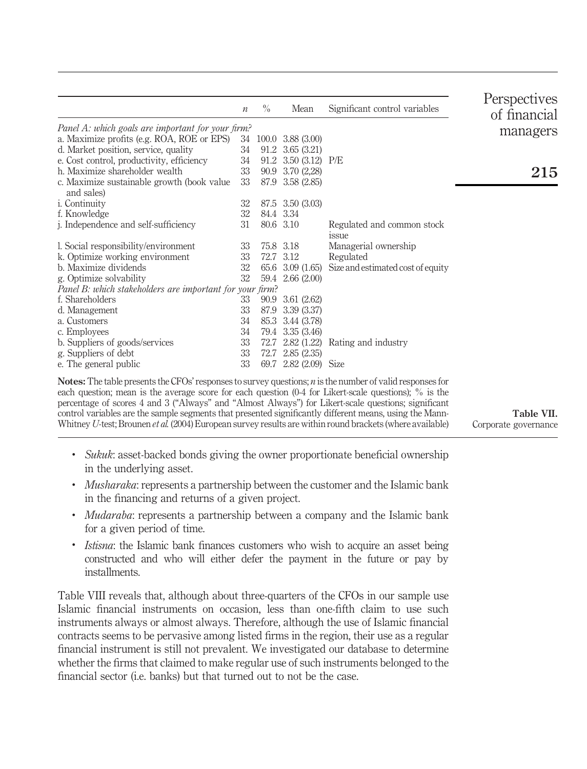|                                                                 |                  |               |                       |                                       | Perspectives |
|-----------------------------------------------------------------|------------------|---------------|-----------------------|---------------------------------------|--------------|
|                                                                 | $\boldsymbol{n}$ | $\frac{0}{0}$ | Mean                  | Significant control variables         | of financial |
| Panel A: which goals are important for your firm?               |                  |               |                       |                                       | managers     |
| a. Maximize profits (e.g. ROA, ROE or EPS) 34 100.0 3.88 (3.00) |                  |               |                       |                                       |              |
| d. Market position, service, quality                            | 34               |               | $91.2$ 3.65 (3.21)    |                                       |              |
| e. Cost control, productivity, efficiency                       | 34               |               | 91.2 3.50 (3.12) P/E  |                                       |              |
| h. Maximize shareholder wealth                                  | 33               |               | 90.9 3.70 (2,28)      |                                       | 215          |
| c. Maximize sustainable growth (book value<br>and sales)        | 33               |               | 87.9 3.58 (2.85)      |                                       |              |
| <i>i</i> . Continuity                                           | 32               |               | 87.5 3.50 (3.03)      |                                       |              |
| f. Knowledge                                                    | 32               | 84.4 3.34     |                       |                                       |              |
| <i>i</i> . Independence and self-sufficiency                    | 31               | 80.6 3.10     |                       | Regulated and common stock<br>issue   |              |
| 1. Social responsibility/environment                            | 33               | 75.8 3.18     |                       | Managerial ownership                  |              |
| k. Optimize working environment                                 | 33               | 72.7 3.12     |                       | Regulated                             |              |
| b. Maximize dividends                                           | 32               |               | 65.6 3.09 (1.65)      | Size and estimated cost of equity     |              |
| g. Optimize solvability                                         | 32               |               | 59.4 2.66 (2.00)      |                                       |              |
| Panel B: which stakeholders are important for your firm?        |                  |               |                       |                                       |              |
| f. Shareholders                                                 | 33               | 90.9          | 3.61(2.62)            |                                       |              |
| d. Management                                                   | 33               |               | 87.9 3.39 (3.37)      |                                       |              |
| a. Customers                                                    | 34               |               | 85.3 3.44 (3.78)      |                                       |              |
| c. Employees                                                    | 34               |               | 79.4 3.35 (3.46)      |                                       |              |
| b. Suppliers of goods/services                                  | 33               |               |                       | 72.7 $2.82(1.22)$ Rating and industry |              |
| g. Suppliers of debt                                            | 33               |               | 72.7 2.85 (2.35)      |                                       |              |
| e. The general public                                           | 33               |               | 69.7 2.82 (2.09) Size |                                       |              |

Notes: The table presents the CFOs' responses to survey questions;  $n$  is the number of valid responses for each question; mean is the average score for each question (0-4 for Likert-scale questions); % is the percentage of scores 4 and 3 ("Always" and "Almost Always") for Likert-scale questions; significant control variables are the sample segments that presented significantly different means, using the Mann-Whitney U-test; Brounen et al. (2004) European survey results are within round brackets (where available)

Table VII. Corporate governance

- . Sukuk: asset-backed bonds giving the owner proportionate beneficial ownership in the underlying asset.
- . Musharaka: represents a partnership between the customer and the Islamic bank in the financing and returns of a given project.
- . Mudaraba: represents a partnership between a company and the Islamic bank for a given period of time.
- . Istisna: the Islamic bank finances customers who wish to acquire an asset being constructed and who will either defer the payment in the future or pay by **installments**

Table VIII reveals that, although about three-quarters of the CFOs in our sample use Islamic financial instruments on occasion, less than one-fifth claim to use such instruments always or almost always. Therefore, although the use of Islamic financial contracts seems to be pervasive among listed firms in the region, their use as a regular financial instrument is still not prevalent. We investigated our database to determine whether the firms that claimed to make regular use of such instruments belonged to the financial sector (i.e. banks) but that turned out to not be the case.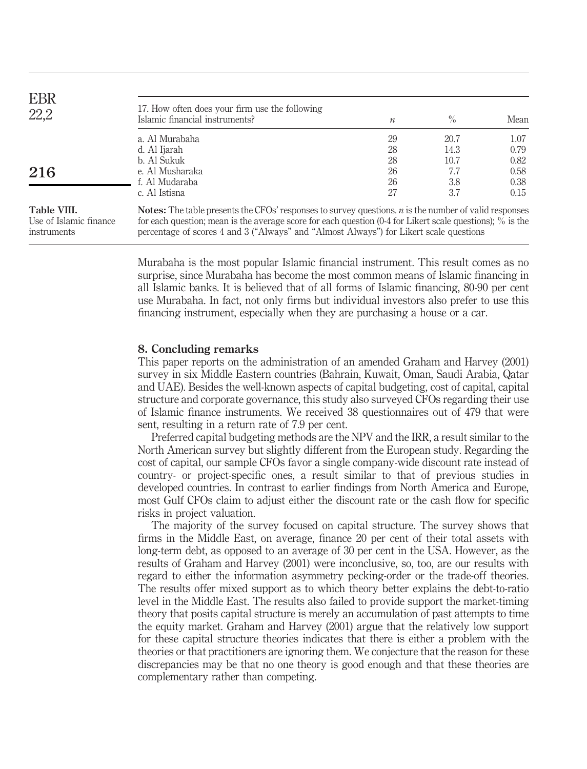| <b>EBR</b><br>22,2                                   | 17. How often does your firm use the following<br>Islamic financial instruments?                                                                                                                                                                                                                                           | $\boldsymbol{n}$ | $\frac{0}{0}$ | Mean |
|------------------------------------------------------|----------------------------------------------------------------------------------------------------------------------------------------------------------------------------------------------------------------------------------------------------------------------------------------------------------------------------|------------------|---------------|------|
|                                                      | a. Al Murabaha                                                                                                                                                                                                                                                                                                             | 29               | 20.7          | 1.07 |
|                                                      | d. Al Ijarah                                                                                                                                                                                                                                                                                                               | 28               | 14.3          | 0.79 |
|                                                      | b. Al Sukuk                                                                                                                                                                                                                                                                                                                | 28               | 10.7          | 0.82 |
| 216                                                  | e. Al Musharaka                                                                                                                                                                                                                                                                                                            | 26               | 7.7           | 0.58 |
|                                                      | f. Al Mudaraba                                                                                                                                                                                                                                                                                                             | 26               | 3.8           | 0.38 |
|                                                      | c. Al Istisna                                                                                                                                                                                                                                                                                                              | 27               | 3.7           | 0.15 |
| Table VIII.<br>Use of Islamic finance<br>instruments | <b>Notes:</b> The table presents the CFOs' responses to survey questions. $n$ is the number of valid responses<br>for each question; mean is the average score for each question $(0.4$ for Likert scale questions); $\%$ is the<br>percentage of scores 4 and 3 ("Always" and "Almost Always") for Likert scale questions |                  |               |      |

Murabaha is the most popular Islamic financial instrument. This result comes as no surprise, since Murabaha has become the most common means of Islamic financing in all Islamic banks. It is believed that of all forms of Islamic financing, 80-90 per cent use Murabaha. In fact, not only firms but individual investors also prefer to use this financing instrument, especially when they are purchasing a house or a car.

#### 8. Concluding remarks

This paper reports on the administration of an amended Graham and Harvey (2001) survey in six Middle Eastern countries (Bahrain, Kuwait, Oman, Saudi Arabia, Qatar and UAE). Besides the well-known aspects of capital budgeting, cost of capital, capital structure and corporate governance, this study also surveyed CFOs regarding their use of Islamic finance instruments. We received 38 questionnaires out of 479 that were sent, resulting in a return rate of 7.9 per cent.

Preferred capital budgeting methods are the NPV and the IRR, a result similar to the North American survey but slightly different from the European study. Regarding the cost of capital, our sample CFOs favor a single company-wide discount rate instead of country- or project-specific ones, a result similar to that of previous studies in developed countries. In contrast to earlier findings from North America and Europe, most Gulf CFOs claim to adjust either the discount rate or the cash flow for specific risks in project valuation.

The majority of the survey focused on capital structure. The survey shows that firms in the Middle East, on average, finance 20 per cent of their total assets with long-term debt, as opposed to an average of 30 per cent in the USA. However, as the results of Graham and Harvey (2001) were inconclusive, so, too, are our results with regard to either the information asymmetry pecking-order or the trade-off theories. The results offer mixed support as to which theory better explains the debt-to-ratio level in the Middle East. The results also failed to provide support the market-timing theory that posits capital structure is merely an accumulation of past attempts to time the equity market. Graham and Harvey (2001) argue that the relatively low support for these capital structure theories indicates that there is either a problem with the theories or that practitioners are ignoring them. We conjecture that the reason for these discrepancies may be that no one theory is good enough and that these theories are complementary rather than competing.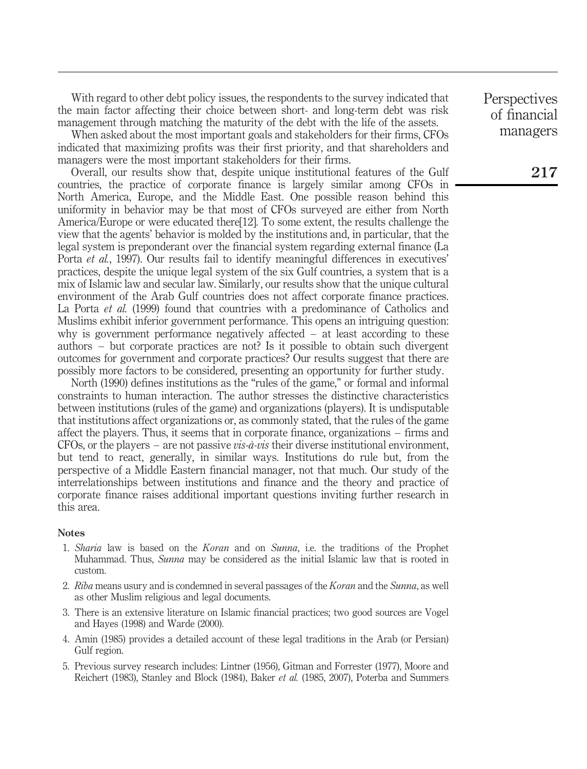With regard to other debt policy issues, the respondents to the survey indicated that the main factor affecting their choice between short- and long-term debt was risk management through matching the maturity of the debt with the life of the assets.

When asked about the most important goals and stakeholders for their firms, CFOs indicated that maximizing profits was their first priority, and that shareholders and managers were the most important stakeholders for their firms.

Overall, our results show that, despite unique institutional features of the Gulf countries, the practice of corporate finance is largely similar among CFOs in North America, Europe, and the Middle East. One possible reason behind this uniformity in behavior may be that most of CFOs surveyed are either from North America/Europe or were educated there[12]. To some extent, the results challenge the view that the agents' behavior is molded by the institutions and, in particular, that the legal system is preponderant over the financial system regarding external finance (La Porta et al., 1997). Our results fail to identify meaningful differences in executives' practices, despite the unique legal system of the six Gulf countries, a system that is a mix of Islamic law and secular law. Similarly, our results show that the unique cultural environment of the Arab Gulf countries does not affect corporate finance practices. La Porta *et al.* (1999) found that countries with a predominance of Catholics and Muslims exhibit inferior government performance. This opens an intriguing question: why is government performance negatively affected – at least according to these authors – but corporate practices are not? Is it possible to obtain such divergent outcomes for government and corporate practices? Our results suggest that there are possibly more factors to be considered, presenting an opportunity for further study.

North (1990) defines institutions as the "rules of the game," or formal and informal constraints to human interaction. The author stresses the distinctive characteristics between institutions (rules of the game) and organizations (players). It is undisputable that institutions affect organizations or, as commonly stated, that the rules of the game affect the players. Thus, it seems that in corporate finance, organizations – firms and CFOs, or the players – are not passive *vis-à-vis* their diverse institutional environment, but tend to react, generally, in similar ways. Institutions do rule but, from the perspective of a Middle Eastern financial manager, not that much. Our study of the interrelationships between institutions and finance and the theory and practice of corporate finance raises additional important questions inviting further research in this area.

#### Notes

- 1. Sharia law is based on the Koran and on Sunna, i.e. the traditions of the Prophet Muhammad. Thus, *Sunna* may be considered as the initial Islamic law that is rooted in custom.
- 2. Riba means usury and is condemned in several passages of the *Koran* and the *Sunna*, as well as other Muslim religious and legal documents.
- 3. There is an extensive literature on Islamic financial practices; two good sources are Vogel and Hayes (1998) and Warde (2000).
- 4. Amin (1985) provides a detailed account of these legal traditions in the Arab (or Persian) Gulf region.
- 5. Previous survey research includes: Lintner (1956), Gitman and Forrester (1977), Moore and Reichert (1983), Stanley and Block (1984), Baker et al. (1985, 2007), Poterba and Summers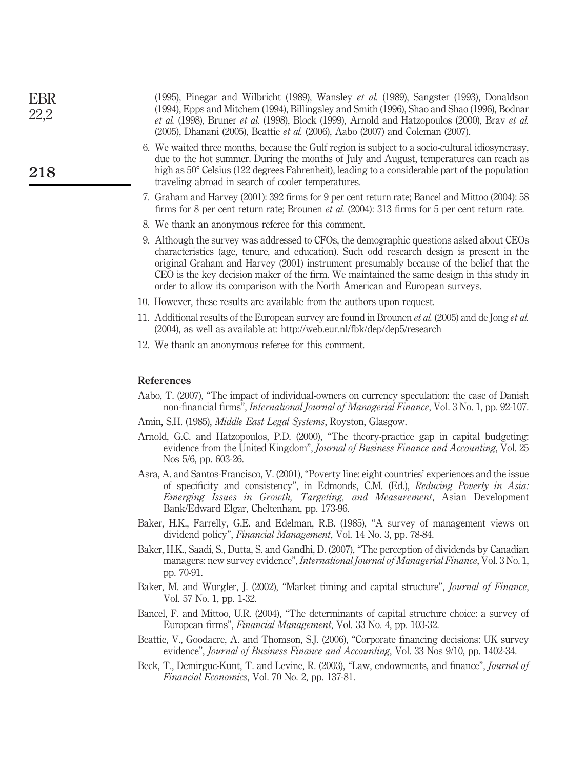| <b>EBR</b><br>22,2 | (1995), Pinegar and Wilbricht (1989), Wansley <i>et al.</i> (1989), Sangster (1993), Donaldson<br>(1994), Epps and Mitchem (1994), Billingsley and Smith (1996), Shao and Shao (1996), Bodnar<br>et al. (1998), Bruner et al. (1998), Block (1999), Arnold and Hatzopoulos (2000), Brav et al.<br>$(2005)$ , Dhanani $(2005)$ , Beattie <i>et al.</i> $(2006)$ , Aabo $(2007)$ and Coleman $(2007)$ .                                                      |
|--------------------|------------------------------------------------------------------------------------------------------------------------------------------------------------------------------------------------------------------------------------------------------------------------------------------------------------------------------------------------------------------------------------------------------------------------------------------------------------|
| 218                | 6. We waited three months, because the Gulf region is subject to a socio-cultural idiosyncrasy,<br>due to the hot summer. During the months of July and August, temperatures can reach as<br>high as 50° Celsius (122 degrees Fahrenheit), leading to a considerable part of the population<br>traveling abroad in search of cooler temperatures.                                                                                                          |
|                    | 7. Graham and Harvey (2001): 392 firms for 9 per cent return rate; Bancel and Mittoo (2004): 58<br>firms for 8 per cent return rate; Brounen <i>et al.</i> (2004): 313 firms for 5 per cent return rate.                                                                                                                                                                                                                                                   |
|                    | 8. We thank an anonymous referee for this comment.                                                                                                                                                                                                                                                                                                                                                                                                         |
|                    | 9. Although the survey was addressed to CFOs, the demographic questions asked about CEOs<br>characteristics (age, tenure, and education). Such odd research design is present in the<br>original Graham and Harvey (2001) instrument presumably because of the belief that the<br>CEO is the key decision maker of the firm. We maintained the same design in this study in<br>order to allow its comparison with the North American and European surveys. |

- 10. However, these results are available from the authors upon request.
- 11. Additional results of the European survey are found in Brounen et al. (2005) and de Jong et al. (2004), as well as available at: http://web.eur.nl/fbk/dep/dep5/research
- 12. We thank an anonymous referee for this comment.

#### References

EBR

- Aabo, T. (2007), "The impact of individual-owners on currency speculation: the case of Danish non-financial firms", International Journal of Managerial Finance, Vol. 3 No. 1, pp. 92-107.
- Amin, S.H. (1985), Middle East Legal Systems, Royston, Glasgow.
- Arnold, G.C. and Hatzopoulos, P.D. (2000), "The theory-practice gap in capital budgeting: evidence from the United Kingdom", Journal of Business Finance and Accounting, Vol. 25 Nos 5/6, pp. 603-26.
- Asra, A. and Santos-Francisco, V. (2001), "Poverty line: eight countries' experiences and the issue of specificity and consistency", in Edmonds, C.M. (Ed.), Reducing Poverty in Asia: Emerging Issues in Growth, Targeting, and Measurement, Asian Development Bank/Edward Elgar, Cheltenham, pp. 173-96.
- Baker, H.K., Farrelly, G.E. and Edelman, R.B. (1985), "A survey of management views on dividend policy", Financial Management, Vol. 14 No. 3, pp. 78-84.
- Baker, H.K., Saadi, S., Dutta, S. and Gandhi, D. (2007), "The perception of dividends by Canadian managers: new survey evidence", *International Journal of Managerial Finance*, Vol. 3 No. 1, pp. 70-91.
- Baker, M. and Wurgler, J. (2002), "Market timing and capital structure", *Journal of Finance*, Vol. 57 No. 1, pp. 1-32.
- Bancel, F. and Mittoo, U.R. (2004), "The determinants of capital structure choice: a survey of European firms", Financial Management, Vol. 33 No. 4, pp. 103-32.
- Beattie, V., Goodacre, A. and Thomson, S.J. (2006), "Corporate financing decisions: UK survey evidence", Journal of Business Finance and Accounting, Vol. 33 Nos 9/10, pp. 1402-34.
- Beck, T., Demirguc-Kunt, T. and Levine, R. (2003), "Law, endowments, and finance", *Journal of* Financial Economics, Vol. 70 No. 2, pp. 137-81.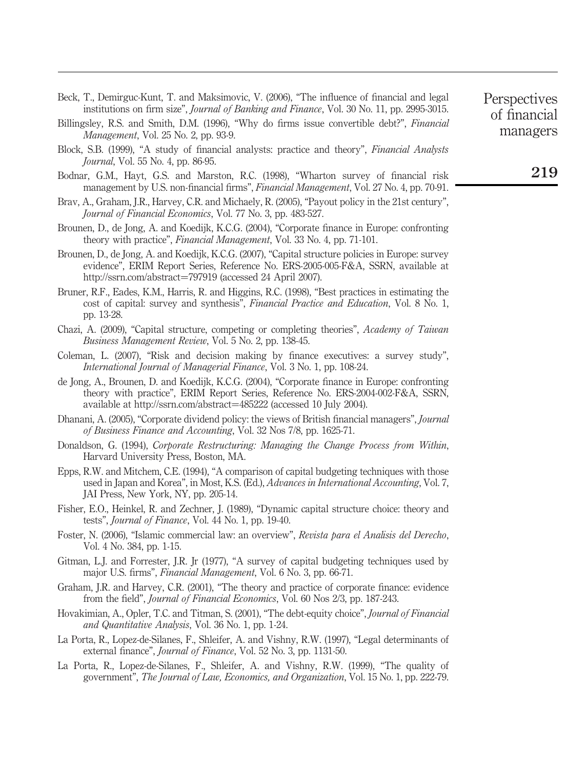- Beck, T., Demirguc-Kunt, T. and Maksimovic, V. (2006), "The influence of financial and legal institutions on firm size", *Journal of Banking and Finance*, Vol. 30 No. 11, pp. 2995-3015.
- Billingsley, R.S. and Smith, D.M. (1996), "Why do firms issue convertible debt?", Financial Management, Vol. 25 No. 2, pp. 93-9.
- Block, S.B. (1999), "A study of financial analysts: practice and theory", Financial Analysts Journal, Vol. 55 No. 4, pp. 86-95.
- Bodnar, G.M., Hayt, G.S. and Marston, R.C. (1998), "Wharton survey of financial risk management by U.S. non-financial firms", Financial Management, Vol. 27 No. 4, pp. 70-91.
- Brav, A., Graham, J.R., Harvey, C.R. and Michaely, R. (2005), "Payout policy in the 21st century", Journal of Financial Economics, Vol. 77 No. 3, pp. 483-527.
- Brounen, D., de Jong, A. and Koedijk, K.C.G. (2004), "Corporate finance in Europe: confronting theory with practice", Financial Management, Vol. 33 No. 4, pp. 71-101.
- Brounen, D., de Jong, A. and Koedijk, K.C.G. (2007), "Capital structure policies in Europe: survey evidence", ERIM Report Series, Reference No. ERS-2005-005-F&A, SSRN, available at http://ssrn.com/abstract=797919 (accessed 24 April 2007).
- Bruner, R.F., Eades, K.M., Harris, R. and Higgins, R.C. (1998), "Best practices in estimating the cost of capital: survey and synthesis", Financial Practice and Education, Vol. 8 No. 1, pp. 13-28.
- Chazi, A. (2009), "Capital structure, competing or completing theories", Academy of Taiwan Business Management Review, Vol. 5 No. 2, pp. 138-45.
- Coleman, L. (2007), "Risk and decision making by finance executives: a survey study", International Journal of Managerial Finance, Vol. 3 No. 1, pp. 108-24.
- de Jong, A., Brounen, D. and Koedijk, K.C.G. (2004), "Corporate finance in Europe: confronting theory with practice", ERIM Report Series, Reference No. ERS-2004-002-F&A, SSRN, available at http://ssrn.com/abstract=485222 (accessed 10 July 2004).
- Dhanani, A. (2005), "Corporate dividend policy: the views of British financial managers", Journal of Business Finance and Accounting, Vol. 32 Nos 7/8, pp. 1625-71.
- Donaldson, G. (1994), Corporate Restructuring: Managing the Change Process from Within, Harvard University Press, Boston, MA.
- Epps, R.W. and Mitchem, C.E. (1994), "A comparison of capital budgeting techniques with those used in Japan and Korea", in Most, K.S. (Ed.), Advances in International Accounting, Vol. 7, JAI Press, New York, NY, pp. 205-14.
- Fisher, E.O., Heinkel, R. and Zechner, J. (1989), "Dynamic capital structure choice: theory and tests", Journal of Finance, Vol. 44 No. 1, pp. 19-40.
- Foster, N. (2006), "Islamic commercial law: an overview", Revista para el Analisis del Derecho, Vol. 4 No. 384, pp. 1-15.
- Gitman, L.J. and Forrester, J.R. Jr (1977), "A survey of capital budgeting techniques used by major U.S. firms", Financial Management, Vol. 6 No. 3, pp. 66-71.
- Graham, J.R. and Harvey, C.R. (2001), "The theory and practice of corporate finance: evidence from the field", Journal of Financial Economics, Vol. 60 Nos 2/3, pp. 187-243.
- Hovakimian, A., Opler, T.C. and Titman, S. (2001), "The debt-equity choice", Journal of Financial and Quantitative Analysis, Vol. 36 No. 1, pp. 1-24.
- La Porta, R., Lopez-de-Silanes, F., Shleifer, A. and Vishny, R.W. (1997), "Legal determinants of external finance", Journal of Finance, Vol. 52 No. 3, pp. 1131-50.
- La Porta, R., Lopez-de-Silanes, F., Shleifer, A. and Vishny, R.W. (1999), "The quality of government", The Journal of Law, Economics, and Organization, Vol. 15 No. 1, pp. 222-79.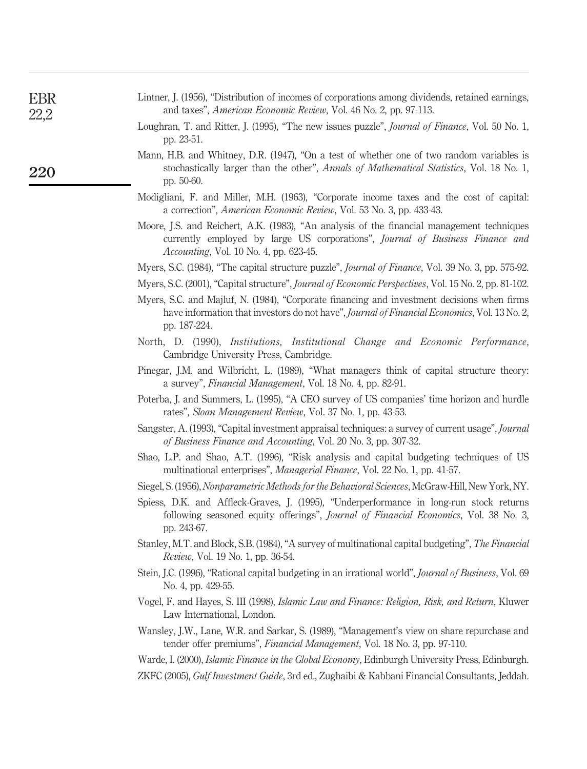| <b>EBR</b><br>22,2 | Lintner, J. (1956), "Distribution of incomes of corporations among dividends, retained earnings,<br>and taxes", American Economic Review, Vol. 46 No. 2, pp. 97-113.                                                  |
|--------------------|-----------------------------------------------------------------------------------------------------------------------------------------------------------------------------------------------------------------------|
|                    | Loughran, T. and Ritter, J. (1995), "The new issues puzzle", <i>Journal of Finance</i> , Vol. 50 No. 1,<br>pp. 23-51.                                                                                                 |
| 220                | Mann, H.B. and Whitney, D.R. (1947), "On a test of whether one of two random variables is<br>stochastically larger than the other", Annals of Mathematical Statistics, Vol. 18 No. 1,<br>pp. 50-60.                   |
|                    | Modigliani, F. and Miller, M.H. (1963), "Corporate income taxes and the cost of capital:<br>a correction", American Economic Review, Vol. 53 No. 3, pp. 433-43.                                                       |
|                    | Moore, J.S. and Reichert, A.K. (1983), "An analysis of the financial management techniques<br>currently employed by large US corporations", Journal of Business Finance and<br>Accounting, Vol. 10 No. 4, pp. 623-45. |
|                    | Myers, S.C. (1984), "The capital structure puzzle", <i>Journal of Finance</i> , Vol. 39 No. 3, pp. 575-92.                                                                                                            |
|                    | Myers, S.C. (2001), "Capital structure", <i>Journal of Economic Perspectives</i> , Vol. 15 No. 2, pp. 81-102.                                                                                                         |
|                    | Myers, S.C. and Majluf, N. (1984), "Corporate financing and investment decisions when firms<br>have information that investors do not have", Journal of Financial Economics, Vol. 13 No. 2,<br>pp. 187-224.           |
|                    | North, D. (1990), Institutions, Institutional Change and Economic Performance,<br>Cambridge University Press, Cambridge.                                                                                              |
|                    | Pinegar, J.M. and Wilbricht, L. (1989), "What managers think of capital structure theory:<br>a survey", <i>Financial Management</i> , Vol. 18 No. 4, pp. 82-91.                                                       |
|                    | Poterba, J. and Summers, L. (1995), "A CEO survey of US companies' time horizon and hurdle<br>rates", Sloan Management Review, Vol. 37 No. 1, pp. 43-53.                                                              |
|                    | Sangster, A. (1993), "Capital investment appraisal techniques: a survey of current usage", <i>Journal</i><br>of Business Finance and Accounting, Vol. 20 No. 3, pp. 307-32.                                           |
|                    | Shao, L.P. and Shao, A.T. (1996), "Risk analysis and capital budgeting techniques of US<br>multinational enterprises", Managerial Finance, Vol. 22 No. 1, pp. 41-57.                                                  |
|                    | Siegel, S. (1956), Nonparametric Methods for the Behavioral Sciences, McGraw-Hill, New York, NY.                                                                                                                      |
|                    | Spiess, D.K. and Affleck-Graves, J. (1995), "Underperformance in long-run stock returns<br>following seasoned equity offerings", Journal of Financial Economics, Vol. 38 No. 3,<br>pp. 243-67.                        |
|                    | Stanley, M.T. and Block, S.B. (1984), "A survey of multinational capital budgeting", The Financial<br>Review, Vol. 19 No. 1, pp. 36-54.                                                                               |
|                    | Stein, J.C. (1996), "Rational capital budgeting in an irrational world", <i>Journal of Business</i> , Vol. 69<br>No. 4, pp. 429-55.                                                                                   |
|                    | Vogel, F. and Hayes, S. III (1998), Islamic Law and Finance: Religion, Risk, and Return, Kluwer<br>Law International, London.                                                                                         |
|                    | Wansley, J.W., Lane, W.R. and Sarkar, S. (1989), "Management's view on share repurchase and<br>tender offer premiums", Financial Management, Vol. 18 No. 3, pp. 97-110.                                               |
|                    | Warde, I. (2000), Islamic Finance in the Global Economy, Edinburgh University Press, Edinburgh.                                                                                                                       |
|                    | ZKFC (2005), Gulf Investment Guide, 3rd ed., Zughaibi & Kabbani Financial Consultants, Jeddah.                                                                                                                        |
|                    |                                                                                                                                                                                                                       |